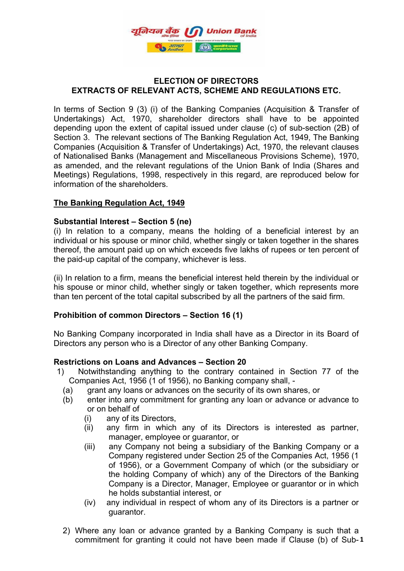

# **ELECTION OF DIRECTORS EXTRACTS OF RELEVANT ACTS, SCHEME AND REGULATIONS ETC.**

 Undertakings) Act, 1970, shareholder directors shall have to be appointed In terms of Section 9 (3) (i) of the Banking Companies (Acquisition & Transfer of depending upon the extent of capital issued under clause (c) of sub-section (2B) of Section 3. The relevant sections of The Banking Regulation Act, 1949, The Banking Companies (Acquisition & Transfer of Undertakings) Act, 1970, the relevant clauses of Nationalised Banks (Management and Miscellaneous Provisions Scheme), 1970, as amended, and the relevant regulations of the Union Bank of India (Shares and Meetings) Regulations, 1998, respectively in this regard, are reproduced below for information of the shareholders.

# **The Banking Regulation Act, 1949**

# **Substantial Interest – Section 5 (ne)**

(i) In relation to a company, means the holding of a beneficial interest by an individual or his spouse or minor child, whether singly or taken together in the shares thereof, the amount paid up on which exceeds five lakhs of rupees or ten percent of the paid-up capital of the company, whichever is less.

(ii) In relation to a firm, means the beneficial interest held therein by the individual or his spouse or minor child, whether singly or taken together, which represents more than ten percent of the total capital subscribed by all the partners of the said firm.

# **Prohibition of common Directors – Section 16 (1)**

No Banking Company incorporated in India shall have as a Director in its Board of Directors any person who is a Director of any other Banking Company.

# **Restrictions on Loans and Advances – Section 20**

- 1) Notwithstanding anything to the contrary contained in Section 77 of the Companies Act, 1956 (1 of 1956), no Banking company shall, -
	- (a) grant any loans or advances on the security of its own shares, or
	- (b) enter into any commitment for granting any loan or advance or advance to or on behalf of
		- (i) any of its Directors,
		- (ii) any firm in which any of its Directors is interested as partner, manager, employee or guarantor, or
		- (iii) any Company not being a subsidiary of the Banking Company or a Company registered under Section 25 of the Companies Act, 1956 (1 of 1956), or a Government Company of which (or the subsidiary or the holding Company of which) any of the Directors of the Banking Company is a Director, Manager, Employee or guarantor or in which he holds substantial interest, or
		- (iv) any individual in respect of whom any of its Directors is a partner or guarantor.
	- commitment for granting it could not have been made if Clause (b) of Sub-1 2) Where any loan or advance granted by a Banking Company is such that a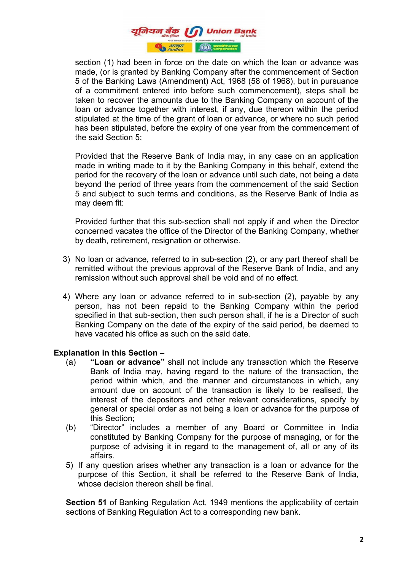

 stipulated at the time of the grant of loan or advance, or where no such period section (1) had been in force on the date on which the loan or advance was made, (or is granted by Banking Company after the commencement of Section 5 of the Banking Laws (Amendment) Act, 1968 (58 of 1968), but in pursuance of a commitment entered into before such commencement), steps shall be taken to recover the amounts due to the Banking Company on account of the loan or advance together with interest, if any, due thereon within the period has been stipulated, before the expiry of one year from the commencement of the said Section 5;

Provided that the Reserve Bank of India may, in any case on an application made in writing made to it by the Banking Company in this behalf, extend the period for the recovery of the loan or advance until such date, not being a date beyond the period of three years from the commencement of the said Section 5 and subject to such terms and conditions, as the Reserve Bank of India as may deem fit:

Provided further that this sub-section shall not apply if and when the Director concerned vacates the office of the Director of the Banking Company, whether by death, retirement, resignation or otherwise.

- 3) No loan or advance, referred to in sub-section (2), or any part thereof shall be remitted without the previous approval of the Reserve Bank of India, and any remission without such approval shall be void and of no effect.
- 4) Where any loan or advance referred to in sub-section (2), payable by any person, has not been repaid to the Banking Company within the period specified in that sub-section, then such person shall, if he is a Director of such Banking Company on the date of the expiry of the said period, be deemed to have vacated his office as such on the said date.

# **Explanation in this Section –**

- (a) **"Loan or advance"** shall not include any transaction which the Reserve Bank of India may, having regard to the nature of the transaction, the period within which, and the manner and circumstances in which, any amount due on account of the transaction is likely to be realised, the interest of the depositors and other relevant considerations, specify by general or special order as not being a loan or advance for the purpose of this Section;
- (b) "Director" includes a member of any Board or Committee in India constituted by Banking Company for the purpose of managing, or for the purpose of advising it in regard to the management of, all or any of its affairs.
- 5) If any question arises whether any transaction is a loan or advance for the purpose of this Section, it shall be referred to the Reserve Bank of India, whose decision thereon shall be final.

**Section 51** of Banking Regulation Act, 1949 mentions the applicability of certain sections of Banking Regulation Act to a corresponding new bank.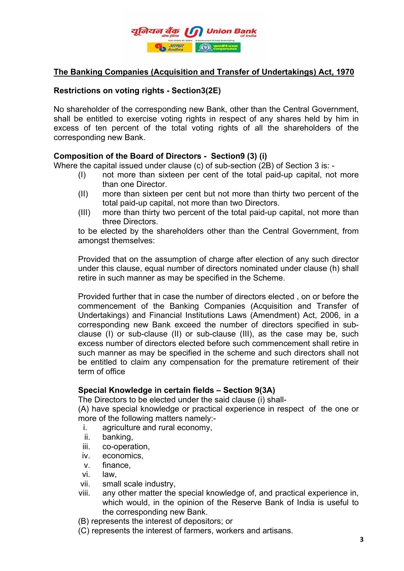

# **The Banking Companies (Acquisition and Transfer of Undertakings) Act, 1970**

# **Restrictions on voting rights - Section3(2E)**

 shall be entitled to exercise voting rights in respect of any shares held by him in No shareholder of the corresponding new Bank, other than the Central Government, excess of ten percent of the total voting rights of all the shareholders of the corresponding new Bank.

# **Composition of the Board of Directors - Section9 (3) (i)**

Where the capital issued under clause (c) of sub-section (2B) of Section 3 is: -

- (I) not more than sixteen per cent of the total paid-up capital, not more than one Director.
- (II) more than sixteen per cent but not more than thirty two percent of the total paid-up capital, not more than two Directors.
- (III) more than thirty two percent of the total paid-up capital, not more than three Directors.

to be elected by the shareholders other than the Central Government, from amongst themselves:

Provided that on the assumption of charge after election of any such director under this clause, equal number of directors nominated under clause (h) shall retire in such manner as may be specified in the Scheme.

Provided further that in case the number of directors elected , on or before the commencement of the Banking Companies (Acquisition and Transfer of Undertakings) and Financial Institutions Laws (Amendment) Act, 2006, in a corresponding new Bank exceed the number of directors specified in subclause (I) or sub-clause (II) or sub-clause (III), as the case may be, such excess number of directors elected before such commencement shall retire in such manner as may be specified in the scheme and such directors shall not be entitled to claim any compensation for the premature retirement of their term of office

# **Special Knowledge in certain fields – Section 9(3A)**

The Directors to be elected under the said clause (i) shall-

(A) have special knowledge or practical experience in respect of the one or more of the following matters namely:-

- i. agriculture and rural economy,
- ii. banking,
- iii. co-operation,
- iv. economics,
- v. finance,
- vi. law,
- vii. small scale industry,
- viii. any other matter the special knowledge of, and practical experience in, which would, in the opinion of the Reserve Bank of India is useful to the corresponding new Bank.
- (B) represents the interest of depositors; or
- (C) represents the interest of farmers, workers and artisans.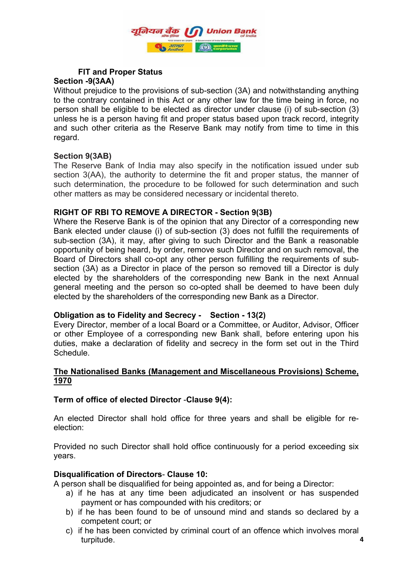

### **FIT and Proper Status Section -9(3AA)**

 unless he is a person having fit and proper status based upon track record, integrity Without prejudice to the provisions of sub-section (3A) and notwithstanding anything to the contrary contained in this Act or any other law for the time being in force, no person shall be eligible to be elected as director under clause (i) of sub-section (3) and such other criteria as the Reserve Bank may notify from time to time in this regard.

# **Section 9(3AB)**

The Reserve Bank of India may also specify in the notification issued under sub section 3(AA), the authority to determine the fit and proper status, the manner of such determination, the procedure to be followed for such determination and such other matters as may be considered necessary or incidental thereto.

# **RIGHT OF RBI TO REMOVE A DIRECTOR - Section 9(3B)**

Where the Reserve Bank is of the opinion that any Director of a corresponding new Bank elected under clause (i) of sub-section (3) does not fulfill the requirements of sub-section (3A), it may, after giving to such Director and the Bank a reasonable opportunity of being heard, by order, remove such Director and on such removal, the Board of Directors shall co-opt any other person fulfilling the requirements of subsection (3A) as a Director in place of the person so removed till a Director is duly elected by the shareholders of the corresponding new Bank in the next Annual general meeting and the person so co-opted shall be deemed to have been duly elected by the shareholders of the corresponding new Bank as a Director.

# **Obligation as to Fidelity and Secrecy - Section - 13(2)**

Every Director, member of a local Board or a Committee, or Auditor, Advisor, Officer or other Employee of a corresponding new Bank shall, before entering upon his duties, make a declaration of fidelity and secrecy in the form set out in the Third Schedule.

# **The Nationalised Banks (Management and Miscellaneous Provisions) Scheme, 1970**

# **Term of office of elected Director** -**Clause 9(4):**

An elected Director shall hold office for three years and shall be eligible for reelection:

Provided no such Director shall hold office continuously for a period exceeding six years.

# **Disqualification of Directors**- **Clause 10:**

A person shall be disqualified for being appointed as, and for being a Director:

- a) if he has at any time been adjudicated an insolvent or has suspended payment or has compounded with his creditors; or
- b) if he has been found to be of unsound mind and stands so declared by a competent court; or
- c) if he has been convicted by criminal court of an offence which involves moral turpitude.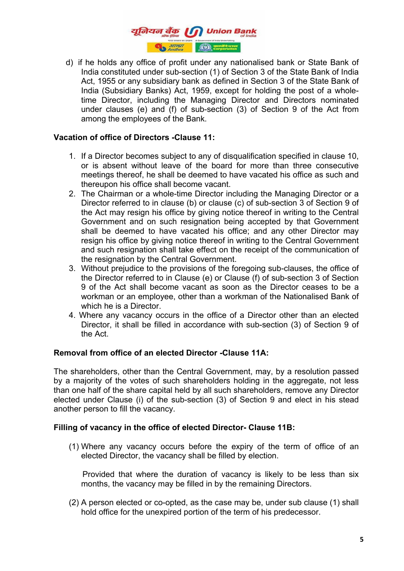

 among the employees of the Bank. d) if he holds any office of profit under any nationalised bank or State Bank of India constituted under sub-section (1) of Section 3 of the State Bank of India Act, 1955 or any subsidiary bank as defined in Section 3 of the State Bank of India (Subsidiary Banks) Act, 1959, except for holding the post of a wholetime Director, including the Managing Director and Directors nominated under clauses (e) and (f) of sub-section (3) of Section 9 of the Act from

# **Vacation of office of Directors -Clause 11:**

- 1. If a Director becomes subject to any of disqualification specified in clause 10, or is absent without leave of the board for more than three consecutive meetings thereof, he shall be deemed to have vacated his office as such and thereupon his office shall become vacant.
- 2. The Chairman or a whole-time Director including the Managing Director or a Director referred to in clause (b) or clause (c) of sub-section 3 of Section 9 of the Act may resign his office by giving notice thereof in writing to the Central Government and on such resignation being accepted by that Government shall be deemed to have vacated his office; and any other Director may resign his office by giving notice thereof in writing to the Central Government and such resignation shall take effect on the receipt of the communication of the resignation by the Central Government.
- 3. Without prejudice to the provisions of the foregoing sub-clauses, the office of the Director referred to in Clause (e) or Clause (f) of sub-section 3 of Section 9 of the Act shall become vacant as soon as the Director ceases to be a workman or an employee, other than a workman of the Nationalised Bank of which he is a Director.
- 4. Where any vacancy occurs in the office of a Director other than an elected Director, it shall be filled in accordance with sub-section (3) of Section 9 of the Act.

# **Removal from office of an elected Director -Clause 11A:**

The shareholders, other than the Central Government, may, by a resolution passed by a majority of the votes of such shareholders holding in the aggregate, not less than one half of the share capital held by all such shareholders, remove any Director elected under Clause (i) of the sub-section (3) of Section 9 and elect in his stead another person to fill the vacancy.

### **Filling of vacancy in the office of elected Director- Clause 11B:**

(1) Where any vacancy occurs before the expiry of the term of office of an elected Director, the vacancy shall be filled by election.

 Provided that where the duration of vacancy is likely to be less than six months, the vacancy may be filled in by the remaining Directors.

(2) A person elected or co-opted, as the case may be, under sub clause (1) shall hold office for the unexpired portion of the term of his predecessor.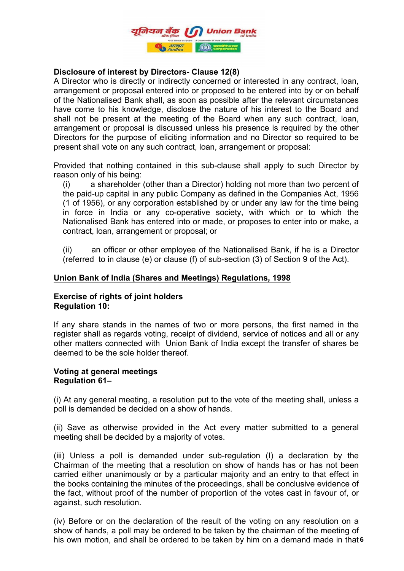

# **Disclosure of interest by Directors- Clause 12(8)**

 shall not be present at the meeting of the Board when any such contract, loan, A Director who is directly or indirectly concerned or interested in any contract, loan, arrangement or proposal entered into or proposed to be entered into by or on behalf of the Nationalised Bank shall, as soon as possible after the relevant circumstances have come to his knowledge, disclose the nature of his interest to the Board and arrangement or proposal is discussed unless his presence is required by the other Directors for the purpose of eliciting information and no Director so required to be present shall vote on any such contract, loan, arrangement or proposal:

Provided that nothing contained in this sub-clause shall apply to such Director by reason only of his being:

(i) a shareholder (other than a Director) holding not more than two percent of the paid-up capital in any public Company as defined in the Companies Act, 1956 (1 of 1956), or any corporation established by or under any law for the time being in force in India or any co-operative society, with which or to which the Nationalised Bank has entered into or made, or proposes to enter into or make, a contract, loan, arrangement or proposal; or

(ii) an officer or other employee of the Nationalised Bank, if he is a Director (referred to in clause (e) or clause (f) of sub-section (3) of Section 9 of the Act).

### **Union Bank of India (Shares and Meetings) Regulations, 1998**

### **Exercise of rights of joint holders Regulation 10:**

If any share stands in the names of two or more persons, the first named in the register shall as regards voting, receipt of dividend, service of notices and all or any other matters connected with Union Bank of India except the transfer of shares be deemed to be the sole holder thereof.

### **Voting at general meetings Regulation 61–**

(i) At any general meeting, a resolution put to the vote of the meeting shall, unless a poll is demanded be decided on a show of hands.

(ii) Save as otherwise provided in the Act every matter submitted to a general meeting shall be decided by a majority of votes.

(iii) Unless a poll is demanded under sub-regulation (I) a declaration by the Chairman of the meeting that a resolution on show of hands has or has not been carried either unanimously or by a particular majority and an entry to that effect in the books containing the minutes of the proceedings, shall be conclusive evidence of the fact, without proof of the number of proportion of the votes cast in favour of, or against, such resolution.

his own motion, and shall be ordered to be taken by him on a demand made in that 6 (iv) Before or on the declaration of the result of the voting on any resolution on a show of hands, a poll may be ordered to be taken by the chairman of the meeting of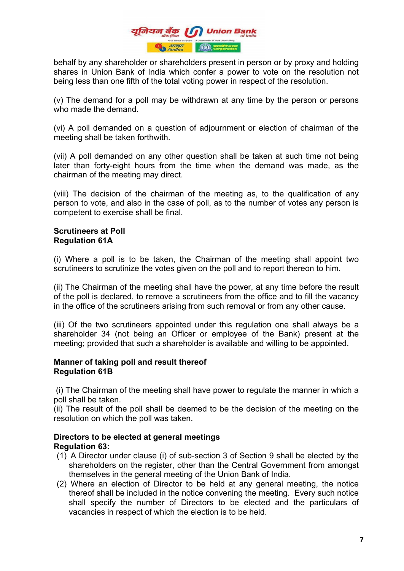

behalf by any shareholder or shareholders present in person or by proxy and holding shares in Union Bank of India which confer a power to vote on the resolution not being less than one fifth of the total voting power in respect of the resolution.

(v) The demand for a poll may be withdrawn at any time by the person or persons who made the demand.

(vi) A poll demanded on a question of adjournment or election of chairman of the meeting shall be taken forthwith.

(vii) A poll demanded on any other question shall be taken at such time not being later than forty-eight hours from the time when the demand was made, as the chairman of the meeting may direct.

(viii) The decision of the chairman of the meeting as, to the qualification of any person to vote, and also in the case of poll, as to the number of votes any person is competent to exercise shall be final.

### **Scrutineers at Poll Regulation 61A**

(i) Where a poll is to be taken, the Chairman of the meeting shall appoint two scrutineers to scrutinize the votes given on the poll and to report thereon to him.

(ii) The Chairman of the meeting shall have the power, at any time before the result of the poll is declared, to remove a scrutineers from the office and to fill the vacancy in the office of the scrutineers arising from such removal or from any other cause.

(iii) Of the two scrutineers appointed under this regulation one shall always be a shareholder 34 (not being an Officer or employee of the Bank) present at the meeting; provided that such a shareholder is available and willing to be appointed.

### **Manner of taking poll and result thereof Regulation 61B**

(i) The Chairman of the meeting shall have power to regulate the manner in which a poll shall be taken.

(ii) The result of the poll shall be deemed to be the decision of the meeting on the resolution on which the poll was taken.

# **Directors to be elected at general meetings Regulation 63:**

- (1) A Director under clause (i) of sub-section 3 of Section 9 shall be elected by the shareholders on the register, other than the Central Government from amongst themselves in the general meeting of the Union Bank of India.
- (2) Where an election of Director to be held at any general meeting, the notice thereof shall be included in the notice convening the meeting. Every such notice shall specify the number of Directors to be elected and the particulars of vacancies in respect of which the election is to be held.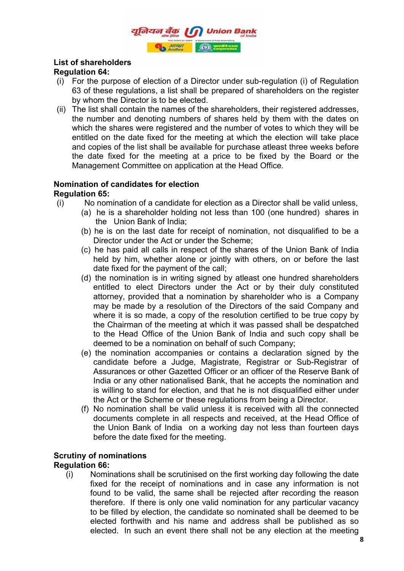

# **List of shareholders Regulation 64:**

- (i) For the purpose of election of a Director under sub-regulation (i) of Regulation 63 of these regulations, a list shall be prepared of shareholders on the register by whom the Director is to be elected.
- the number and denoting numbers of shares held by them with the dates on (ii) The list shall contain the names of the shareholders, their registered addresses, which the shares were registered and the number of votes to which they will be entitled on the date fixed for the meeting at which the election will take place and copies of the list shall be available for purchase atleast three weeks before the date fixed for the meeting at a price to be fixed by the Board or the Management Committee on application at the Head Office.

### **Nomination of candidates for election Regulation 65:**

- (i) No nomination of a candidate for election as a Director shall be valid unless,
	- (a) he is a shareholder holding not less than 100 (one hundred) shares in the Union Bank of India;
	- (b) he is on the last date for receipt of nomination, not disqualified to be a Director under the Act or under the Scheme;
	- (c) he has paid all calls in respect of the shares of the Union Bank of India held by him, whether alone or jointly with others, on or before the last date fixed for the payment of the call;
	- (d) the nomination is in writing signed by atleast one hundred shareholders entitled to elect Directors under the Act or by their duly constituted attorney, provided that a nomination by shareholder who is a Company may be made by a resolution of the Directors of the said Company and where it is so made, a copy of the resolution certified to be true copy by the Chairman of the meeting at which it was passed shall be despatched to the Head Office of the Union Bank of India and such copy shall be deemed to be a nomination on behalf of such Company;
	- (e) the nomination accompanies or contains a declaration signed by the candidate before a Judge, Magistrate, Registrar or Sub-Registrar of Assurances or other Gazetted Officer or an officer of the Reserve Bank of India or any other nationalised Bank, that he accepts the nomination and is willing to stand for election, and that he is not disqualified either under the Act or the Scheme or these regulations from being a Director.
	- (f) No nomination shall be valid unless it is received with all the connected documents complete in all respects and received, at the Head Office of the Union Bank of India on a working day not less than fourteen days before the date fixed for the meeting.

### **Scrutiny of nominations Regulation 66:**

(i) Nominations shall be scrutinised on the first working day following the date fixed for the receipt of nominations and in case any information is not found to be valid, the same shall be rejected after recording the reason therefore. If there is only one valid nomination for any particular vacancy to be filled by election, the candidate so nominated shall be deemed to be elected forthwith and his name and address shall be published as so elected. In such an event there shall not be any election at the meeting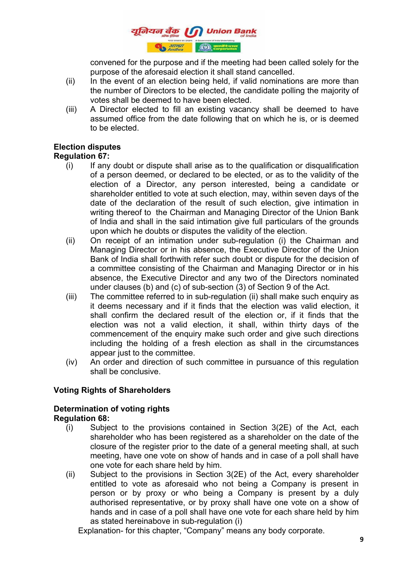

convened for the purpose and if the meeting had been called solely for the purpose of the aforesaid election it shall stand cancelled.

- $(iii)$  In the event of an election being held, if valid nominations are more than the number of Directors to be elected, the candidate polling the majority of votes shall be deemed to have been elected.
- assumed office from the date following that on which he is, or is deemed (iii) A Director elected to fill an existing vacancy shall be deemed to have to be elected.

# **Election disputes**

# **Regulation 67:**

- (i) If any doubt or dispute shall arise as to the qualification or disqualification of a person deemed, or declared to be elected, or as to the validity of the election of a Director, any person interested, being a candidate or shareholder entitled to vote at such election, may, within seven days of the date of the declaration of the result of such election, give intimation in writing thereof to the Chairman and Managing Director of the Union Bank of India and shall in the said intimation give full particulars of the grounds upon which he doubts or disputes the validity of the election.
- (ii) On receipt of an intimation under sub-regulation (i) the Chairman and Managing Director or in his absence, the Executive Director of the Union Bank of India shall forthwith refer such doubt or dispute for the decision of a committee consisting of the Chairman and Managing Director or in his absence, the Executive Director and any two of the Directors nominated under clauses (b) and (c) of sub-section (3) of Section 9 of the Act.
- (iii) The committee referred to in sub-regulation (ii) shall make such enquiry as it deems necessary and if it finds that the election was valid election, it shall confirm the declared result of the election or, if it finds that the election was not a valid election, it shall, within thirty days of the commencement of the enquiry make such order and give such directions including the holding of a fresh election as shall in the circumstances appear just to the committee.
- (iv) An order and direction of such committee in pursuance of this regulation shall be conclusive.

# **Voting Rights of Shareholders**

#### **Determination of voting rights Regulation 68:**

- (i) Subject to the provisions contained in Section 3(2E) of the Act, each shareholder who has been registered as a shareholder on the date of the closure of the register prior to the date of a general meeting shall, at such meeting, have one vote on show of hands and in case of a poll shall have one vote for each share held by him.
- (ii) Subject to the provisions in Section 3(2E) of the Act, every shareholder entitled to vote as aforesaid who not being a Company is present in person or by proxy or who being a Company is present by a duly authorised representative, or by proxy shall have one vote on a show of hands and in case of a poll shall have one vote for each share held by him as stated hereinabove in sub-regulation (i)

Explanation- for this chapter, "Company" means any body corporate.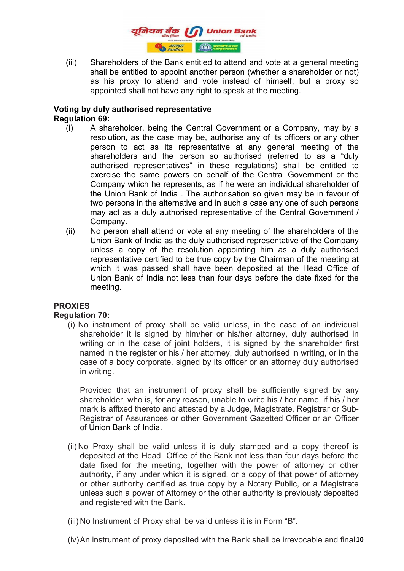

(iii) Shareholders of the Bank entitled to attend and vote at a general meeting shall be entitled to appoint another person (whether a shareholder or not) as his proxy to attend and vote instead of himself; but a proxy so appointed shall not have any right to speak at the meeting.

### **Voting by duly authorised representative Regulation 69:**

- (i) A shareholder, being the Central Government or a Company, may by a resolution, as the case may be, authorise any of its officers or any other person to act as its representative at any general meeting of the shareholders and the person so authorised (referred to as a "duly authorised representatives" in these regulations) shall be entitled to exercise the same powers on behalf of the Central Government or the Company which he represents, as if he were an individual shareholder of the Union Bank of India . The authorisation so given may be in favour of two persons in the alternative and in such a case any one of such persons may act as a duly authorised representative of the Central Government / Company.
- (ii) No person shall attend or vote at any meeting of the shareholders of the Union Bank of India as the duly authorised representative of the Company unless a copy of the resolution appointing him as a duly authorised representative certified to be true copy by the Chairman of the meeting at which it was passed shall have been deposited at the Head Office of Union Bank of India not less than four days before the date fixed for the meeting.

# **PROXIES**

# **Regulation 70:**

(i) No instrument of proxy shall be valid unless, in the case of an individual shareholder it is signed by him/her or his/her attorney, duly authorised in writing or in the case of joint holders, it is signed by the shareholder first named in the register or his / her attorney, duly authorised in writing, or in the case of a body corporate, signed by its officer or an attorney duly authorised in writing.

Provided that an instrument of proxy shall be sufficiently signed by any shareholder, who is, for any reason, unable to write his / her name, if his / her mark is affixed thereto and attested by a Judge, Magistrate, Registrar or Sub-Registrar of Assurances or other Government Gazetted Officer or an Officer of Union Bank of India.

- (ii) No Proxy shall be valid unless it is duly stamped and a copy thereof is deposited at the Head Office of the Bank not less than four days before the date fixed for the meeting, together with the power of attorney or other authority, if any under which it is signed. or a copy of that power of attorney or other authority certified as true copy by a Notary Public, or a Magistrate unless such a power of Attorney or the other authority is previously deposited and registered with the Bank.
- (iii) No Instrument of Proxy shall be valid unless it is in Form "B".
- (iv) An instrument of proxy deposited with the Bank shall be irrevocable and final.10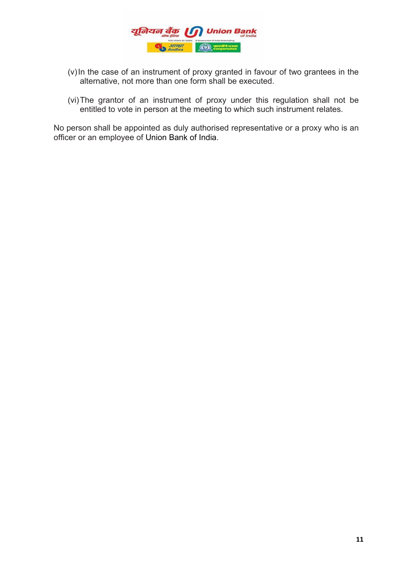

- (v) In the case of an instrument of proxy granted in favour of two grantees in the alternative, not more than one form shall be executed.
- (vi)The grantor of an instrument of proxy under this regulation shall not be entitled to vote in person at the meeting to which such instrument relates.

No person shall be appointed as duly authorised representative or a proxy who is an officer or an employee of Union Bank of India.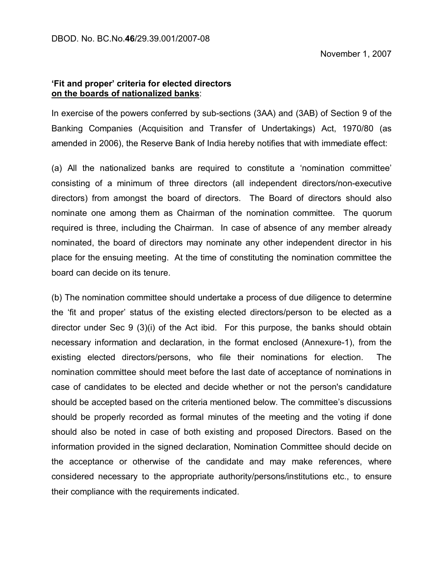# **'Fit and proper' criteria for elected directors on the boards of nationalized banks**:

In exercise of the powers conferred by sub-sections (3AA) and (3AB) of Section 9 of the Banking Companies (Acquisition and Transfer of Undertakings) Act, 1970/80 (as amended in 2006), the Reserve Bank of India hereby notifies that with immediate effect:

(a) All the nationalized banks are required to constitute a 'nomination committee' consisting of a minimum of three directors (all independent directors/non-executive directors) from amongst the board of directors. The Board of directors should also nominate one among them as Chairman of the nomination committee. The quorum required is three, including the Chairman. In case of absence of any member already nominated, the board of directors may nominate any other independent director in his place for the ensuing meeting. At the time of constituting the nomination committee the board can decide on its tenure.

(b) The nomination committee should undertake a process of due diligence to determine the 'fit and proper' status of the existing elected directors/person to be elected as a director under Sec 9 (3)(i) of the Act ibid. For this purpose, the banks should obtain necessary information and declaration, in the format enclosed (Annexure-1), from the existing elected directors/persons, who file their nominations for election. The nomination committee should meet before the last date of acceptance of nominations in case of candidates to be elected and decide whether or not the person's candidature should be accepted based on the criteria mentioned below. The committee's discussions should be properly recorded as formal minutes of the meeting and the voting if done should also be noted in case of both existing and proposed Directors. Based on the information provided in the signed declaration, Nomination Committee should decide on the acceptance or otherwise of the candidate and may make references, where considered necessary to the appropriate authority/persons/institutions etc., to ensure their compliance with the requirements indicated.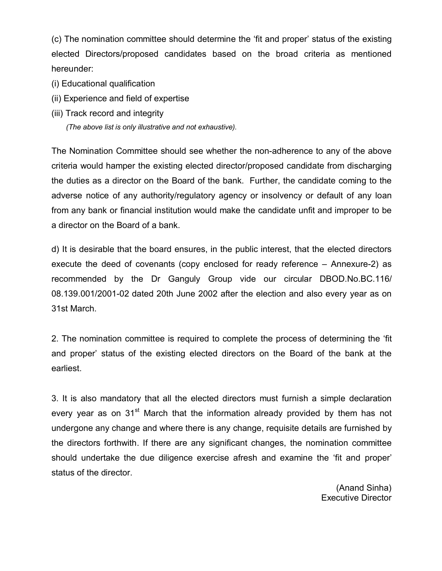(c) The nomination committee should determine the 'fit and proper' status of the existing elected Directors/proposed candidates based on the broad criteria as mentioned hereunder:

- (i) Educational qualification
- (ii) Experience and field of expertise
- (iii) Track record and integrity

*(The above list is only illustrative and not exhaustive).*

The Nomination Committee should see whether the non-adherence to any of the above criteria would hamper the existing elected director/proposed candidate from discharging the duties as a director on the Board of the bank. Further, the candidate coming to the adverse notice of any authority/regulatory agency or insolvency or default of any loan from any bank or financial institution would make the candidate unfit and improper to be a director on the Board of a bank.

d) It is desirable that the board ensures, in the public interest, that the elected directors execute the deed of covenants (copy enclosed for ready reference – Annexure-2) as recommended by the Dr Ganguly Group vide our circular DBOD.No.BC.116/ 08.139.001/2001-02 dated 20th June 2002 after the election and also every year as on 31st March.

2. The nomination committee is required to complete the process of determining the 'fit and proper' status of the existing elected directors on the Board of the bank at the earliest.

3. It is also mandatory that all the elected directors must furnish a simple declaration every year as on 31<sup>st</sup> March that the information already provided by them has not undergone any change and where there is any change, requisite details are furnished by the directors forthwith. If there are any significant changes, the nomination committee should undertake the due diligence exercise afresh and examine the 'fit and proper' status of the director.

> (Anand Sinha) Executive Director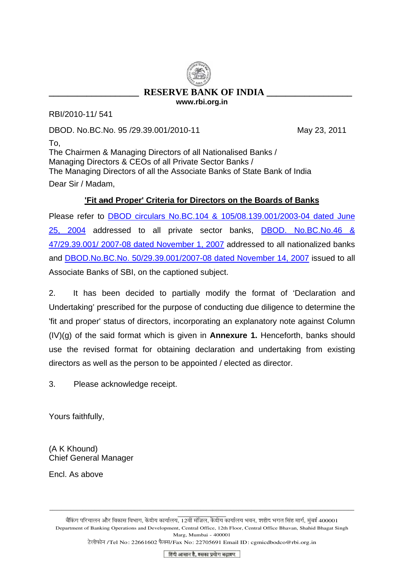# **RESERVE BANK OF INDIA www.rbi.org.in**

RBI/2010-11/ 541

DBOD. No.BC.No. 95 /29.39.001/2010-11 May 23, 2011

To, The Chairmen & Managing Directors of all Nationalised Banks / Managing Directors & CEOs of all Private Sector Banks / The Managing Directors of all the Associate Banks of State Bank of India Dear Sir / Madam,

# **'Fit and Proper' Criteria for Directors on the Boards of Banks**

Please refer to [DBOD circulars No.BC.104 & 105/08.139.001/2003-04 dated June](http://www.rbi.org.in/scripts/NotificationUser.aspx?Id=1727&Mode=0)  [25, 2004](http://www.rbi.org.in/scripts/NotificationUser.aspx?Id=1727&Mode=0) addressed to all private sector banks, [DBOD. No.BC.No.46 &](http://www.rbi.org.in/scripts/NotificationUser.aspx?Id=3916&Mode=0)  [47/29.39.001/ 2007-08 dated November 1, 2007](http://www.rbi.org.in/scripts/NotificationUser.aspx?Id=3916&Mode=0) addressed to all nationalized banks and [DBOD.No.BC.No. 50/29.39.001/2007-08 dated November 14, 2007](http://www.rbi.org.in/scripts/NotificationUser.aspx?Id=3935&Mode=0) issued to all Associate Banks of SBI, on the captioned subject.

2. It has been decided to partially modify the format of 'Declaration and Undertaking' prescribed for the purpose of conducting due diligence to determine the 'fit and proper' status of directors, incorporating an explanatory note against Column (IV)(g) of the said format which is given in **Annexure 1.** Henceforth, banks should use the revised format for obtaining declaration and undertaking from existing directors as well as the person to be appointed / elected as director.

3. Please acknowledge receipt.

Yours faithfully,

(A K Khound) Chief General Manager

Encl. As above

बैंकिंग परिचालन और विकास विभाग, केंद्रीय कार्यालय, 12वीं मंजिल, केंद्रीय कार्यालय भवन, शहीद भगत सिंह मार्ग, मुंबई 400001 Department of Banking Operations and Development, Central Office, 12th Floor, Central Office Bhavan, Shahid Bhagat Singh Marg, Mumbai - 400001

\_\_\_\_\_\_\_\_\_\_\_\_\_\_\_\_\_\_\_\_\_\_\_\_\_\_\_\_\_\_\_\_\_\_\_\_\_\_\_\_\_\_\_\_\_\_\_\_\_\_\_\_\_\_\_\_\_\_\_\_\_\_\_\_\_\_\_\_\_\_\_\_\_\_\_\_\_\_\_\_\_\_\_\_\_\_\_\_\_\_\_\_\_\_\_\_\_\_\_\_\_  $\overline{\phantom{a}}$  , and the set of the set of the set of the set of the set of the set of the set of the set of the set of the set of the set of the set of the set of the set of the set of the set of the set of the set of the s

टेलीफोन /Tel No: 22661602 फैक्स/Fax No: 22705691 Email ID: cgmicdbodco@rbi.org.in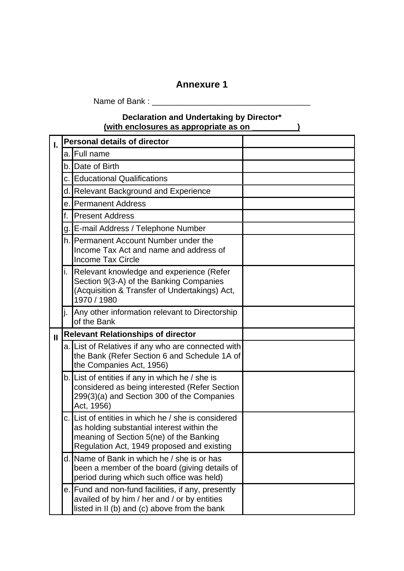# **Annexure 1**

Name of Bank : \_\_\_\_\_\_\_\_\_\_\_\_\_\_\_\_\_\_\_\_\_\_\_\_\_\_\_\_\_\_\_\_\_\_\_

# **Declaration and Undertaking by Director\* (with enclosures as appropriate as on \_\_\_\_\_\_\_\_\_\_)**

| I.           |                                           | <b>Personal details of director</b>                                                                                                                                                        |  |
|--------------|-------------------------------------------|--------------------------------------------------------------------------------------------------------------------------------------------------------------------------------------------|--|
|              | a.l                                       | Full name                                                                                                                                                                                  |  |
|              |                                           | b. Date of Birth                                                                                                                                                                           |  |
|              | c. I                                      | <b>Educational Qualifications</b>                                                                                                                                                          |  |
|              | d.                                        | <b>Relevant Background and Experience</b>                                                                                                                                                  |  |
|              | е.                                        | <b>Permanent Address</b>                                                                                                                                                                   |  |
|              | f.                                        | <b>Present Address</b>                                                                                                                                                                     |  |
|              | $g_{\cdot}$                               | E-mail Address / Telephone Number                                                                                                                                                          |  |
|              |                                           | h. Permanent Account Number under the<br>Income Tax Act and name and address of<br><b>Income Tax Circle</b>                                                                                |  |
|              | i.                                        | Relevant knowledge and experience (Refer<br>Section 9(3-A) of the Banking Companies<br>(Acquisition & Transfer of Undertakings) Act,<br>1970 / 1980                                        |  |
|              |                                           | Any other information relevant to Directorship<br>of the Bank                                                                                                                              |  |
| $\mathbf{I}$ | <b>Relevant Relationships of director</b> |                                                                                                                                                                                            |  |
|              |                                           | a. List of Relatives if any who are connected with<br>the Bank (Refer Section 6 and Schedule 1A of<br>the Companies Act, 1956)                                                             |  |
|              |                                           | b. List of entities if any in which he / she is<br>considered as being interested (Refer Section<br>299(3)(a) and Section 300 of the Companies<br>Act, 1956)                               |  |
|              |                                           | c. List of entities in which he / she is considered<br>as holding substantial interest within the<br>meaning of Section 5(ne) of the Banking<br>Regulation Act, 1949 proposed and existing |  |
|              |                                           | d. Name of Bank in which he / she is or has<br>been a member of the board (giving details of<br>period during which such office was held)                                                  |  |
|              |                                           | e. Fund and non-fund facilities, if any, presently<br>availed of by him / her and / or by entities<br>listed in II (b) and (c) above from the bank                                         |  |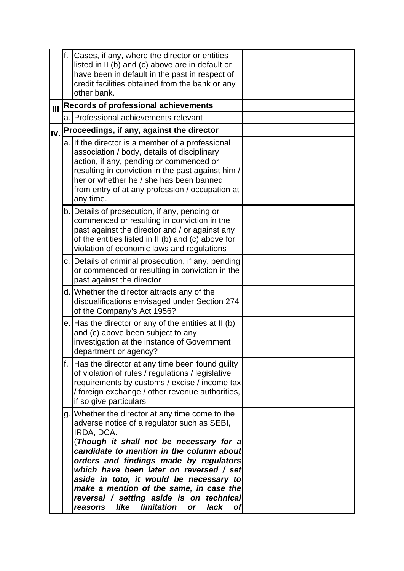|     | f. | Cases, if any, where the director or entities<br>listed in II (b) and (c) above are in default or<br>have been in default in the past in respect of<br>credit facilities obtained from the bank or any<br>other bank.                                                                                                                                                                                                                                                                      |  |
|-----|----|--------------------------------------------------------------------------------------------------------------------------------------------------------------------------------------------------------------------------------------------------------------------------------------------------------------------------------------------------------------------------------------------------------------------------------------------------------------------------------------------|--|
| III |    | <b>Records of professional achievements</b>                                                                                                                                                                                                                                                                                                                                                                                                                                                |  |
|     |    | a. Professional achievements relevant                                                                                                                                                                                                                                                                                                                                                                                                                                                      |  |
| IV. |    | Proceedings, if any, against the director                                                                                                                                                                                                                                                                                                                                                                                                                                                  |  |
|     |    | a. If the director is a member of a professional<br>association / body, details of disciplinary<br>action, if any, pending or commenced or<br>resulting in conviction in the past against him /<br>her or whether he / she has been banned<br>from entry of at any profession / occupation at<br>any time.                                                                                                                                                                                 |  |
|     |    | b. Details of prosecution, if any, pending or<br>commenced or resulting in conviction in the<br>past against the director and / or against any<br>of the entities listed in II (b) and (c) above for<br>violation of economic laws and regulations                                                                                                                                                                                                                                         |  |
|     |    | c. Details of criminal prosecution, if any, pending<br>or commenced or resulting in conviction in the<br>past against the director                                                                                                                                                                                                                                                                                                                                                         |  |
|     |    | d. Whether the director attracts any of the<br>disqualifications envisaged under Section 274<br>of the Company's Act 1956?                                                                                                                                                                                                                                                                                                                                                                 |  |
|     |    | e. Has the director or any of the entities at II (b)<br>and (c) above been subject to any<br>investigation at the instance of Government<br>department or agency?                                                                                                                                                                                                                                                                                                                          |  |
|     | f. | Has the director at any time been found guilty<br>of violation of rules / regulations / legislative<br>requirements by customs / excise / income tax<br>/ foreign exchange / other revenue authorities,<br>if so give particulars                                                                                                                                                                                                                                                          |  |
|     | g. | Whether the director at any time come to the<br>adverse notice of a regulator such as SEBI,<br>IRDA, DCA.<br>(Though it shall not be necessary for a<br>candidate to mention in the column about<br>orders and findings made by regulators<br>which have been later on reversed / set<br>aside in toto, it would be necessary to<br>make a mention of the same, in case the<br>reversal / setting aside is on technical<br>limitation<br>like<br>lack<br>reasons<br><b>of</b><br><b>or</b> |  |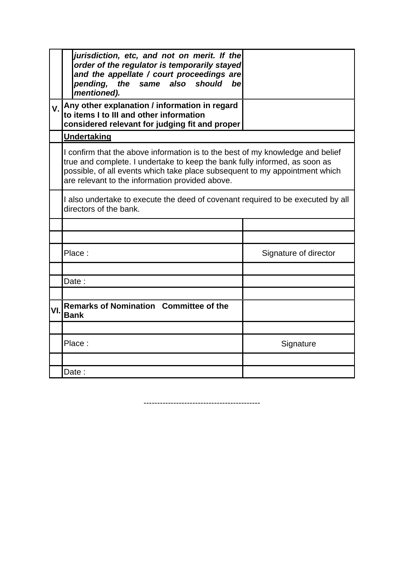|     | jurisdiction, etc, and not on merit. If the<br>order of the regulator is temporarily stayed<br>and the appellate / court proceedings are<br>the same also should<br>pending,<br>bel<br>mentioned).                                                                                             |                       |
|-----|------------------------------------------------------------------------------------------------------------------------------------------------------------------------------------------------------------------------------------------------------------------------------------------------|-----------------------|
| V.  | Any other explanation / information in regard<br>to items I to III and other information<br>considered relevant for judging fit and proper                                                                                                                                                     |                       |
|     | <u>Undertaking</u>                                                                                                                                                                                                                                                                             |                       |
|     | I confirm that the above information is to the best of my knowledge and belief<br>true and complete. I undertake to keep the bank fully informed, as soon as<br>possible, of all events which take place subsequent to my appointment which<br>are relevant to the information provided above. |                       |
|     | I also undertake to execute the deed of covenant required to be executed by all<br>directors of the bank.                                                                                                                                                                                      |                       |
|     |                                                                                                                                                                                                                                                                                                |                       |
|     |                                                                                                                                                                                                                                                                                                |                       |
|     | Place:                                                                                                                                                                                                                                                                                         | Signature of director |
|     |                                                                                                                                                                                                                                                                                                |                       |
|     | Date:                                                                                                                                                                                                                                                                                          |                       |
| VI. | <b>Remarks of Nomination Committee of the</b><br><b>Bank</b>                                                                                                                                                                                                                                   |                       |
|     |                                                                                                                                                                                                                                                                                                |                       |
|     | Place:                                                                                                                                                                                                                                                                                         | Signature             |
|     |                                                                                                                                                                                                                                                                                                |                       |
|     | Date :                                                                                                                                                                                                                                                                                         |                       |

-------------------------------------------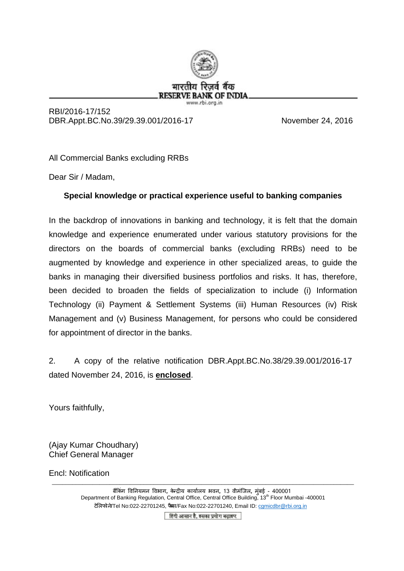

RBI/2016-17/152 DBR.Appt.BC.No.39/29.39.001/2016-17 November 24, 2016

All Commercial Banks excluding RRBs

Dear Sir / Madam,

# **Special knowledge or practical experience useful to banking companies**

In the backdrop of innovations in banking and technology, it is felt that the domain knowledge and experience enumerated under various statutory provisions for the directors on the boards of commercial banks (excluding RRBs) need to be augmented by knowledge and experience in other specialized areas, to guide the banks in managing their diversified business portfolios and risks. It has, therefore, been decided to broaden the fields of specialization to include (i) Information Technology (ii) Payment & Settlement Systems (iii) Human Resources (iv) Risk Management and (v) Business Management, for persons who could be considered for appointment of director in the banks.

2. A copy of the relative notification DBR.Appt.BC.No.38/29.39.001/2016-17 dated November 24, 2016, is **enclosed**.

Yours faithfully,

(Ajay Kumar Choudhary) Chief General Manager

Encl: Notification

ब��कंग �व�नयमन �वभाग**,** केन्द्र�य कायार्लय भवन**,** 13 वीमंिजल**,** मुंबई - 400001 Department of Banking Regulation, Central Office, Central Office Building, 13<sup>th</sup> Floor Mumbai -400001 टेलिफोने Tel No:022-22701245, फैस/Fax No:022-22701240, Email ID: c[gmicdbr@rbi.org.in](mailto:cgmicdbr@rbi.org.in)

\_\_\_\_\_\_\_\_\_\_\_\_\_\_\_\_\_\_\_\_\_\_\_\_\_\_\_\_\_\_\_\_\_\_\_\_\_\_\_\_\_\_\_\_\_\_\_\_\_\_\_\_\_\_\_\_\_\_\_\_\_\_\_\_\_\_\_\_\_\_\_\_\_\_\_\_\_\_\_\_\_\_\_\_\_\_\_\_\_

हिंदी आसान है, इसका प्रयोग बढ़ाइए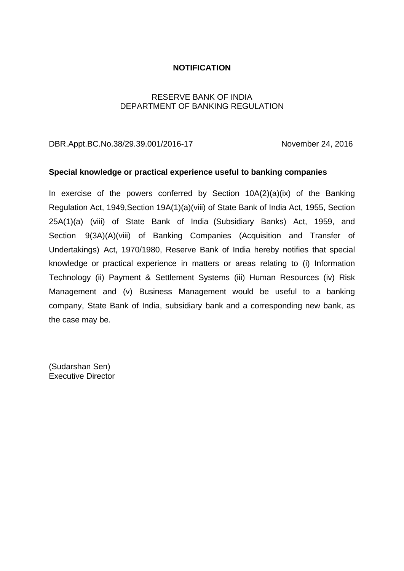### **NOTIFICATION**

# RESERVE BANK OF INDIA DEPARTMENT OF BANKING REGULATION

DBR.Appt.BC.No.38/29.39.001/2016-17 November 24, 2016

### **Special knowledge or practical experience useful to banking companies**

In exercise of the powers conferred by Section 10A(2)(a)(ix) of the Banking Regulation Act, 1949,Section 19A(1)(a)(viii) of State Bank of India Act, 1955, Section 25A(1)(a) (viii) of State Bank of India (Subsidiary Banks) Act, 1959, and Section 9(3A)(A)(viii) of Banking Companies (Acquisition and Transfer of Undertakings) Act, 1970/1980, Reserve Bank of India hereby notifies that special knowledge or practical experience in matters or areas relating to (i) Information Technology (ii) Payment & Settlement Systems (iii) Human Resources (iv) Risk Management and (v) Business Management would be useful to a banking company, State Bank of India, subsidiary bank and a corresponding new bank, as the case may be.

(Sudarshan Sen) Executive Director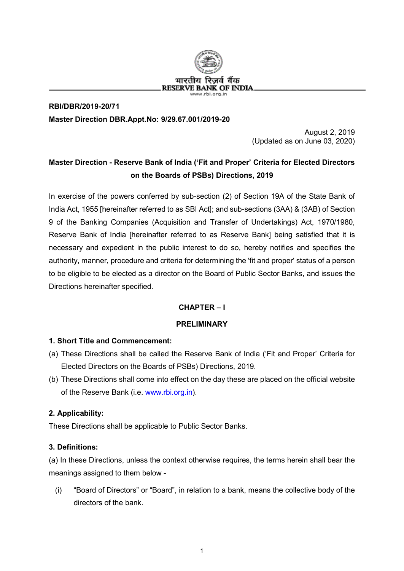

# **RBI/DBR/2019-20/71 Master Direction DBR.Appt.No: 9/29.67.001/2019-20**

August 2, 2019 (Updated as on June 03, 2020)

# **Master Direction - Reserve Bank of India ('Fit and Proper' Criteria for Elected Directors on the Boards of PSBs) Directions, 2019**

In exercise of the powers conferred by sub-section (2) of Section 19A of the State Bank of India Act, 1955 [hereinafter referred to as SBI Act]; and sub-sections (3AA) & (3AB) of Section 9 of the Banking Companies (Acquisition and Transfer of Undertakings) Act, 1970/1980, Reserve Bank of India [hereinafter referred to as Reserve Bank] being satisfied that it is necessary and expedient in the public interest to do so, hereby notifies and specifies the authority, manner, procedure and criteria for determining the 'fit and proper' status of a person to be eligible to be elected as a director on the Board of Public Sector Banks, and issues the Directions hereinafter specified.

### **CHAPTER – I**

### **PRELIMINARY**

### **1. Short Title and Commencement:**

- (a) These Directions shall be called the Reserve Bank of India ('Fit and Proper' Criteria for Elected Directors on the Boards of PSBs) Directions, 2019.
- (b) These Directions shall come into effect on the day these are placed on the official website of the Reserve Bank (i.e. [www.rbi.org.in\)](http://www.rbi.org.in/).

### **2. Applicability:**

These Directions shall be applicable to Public Sector Banks.

### **3. Definitions:**

(a) In these Directions, unless the context otherwise requires, the terms herein shall bear the meanings assigned to them below -

(i) "Board of Directors" or "Board", in relation to a bank, means the collective body of the directors of the bank.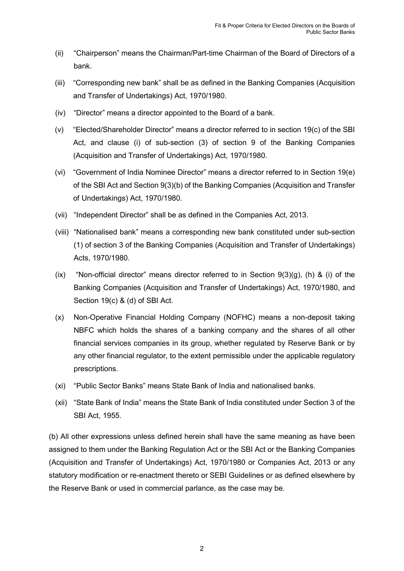- (ii) "Chairperson" means the Chairman/Part-time Chairman of the Board of Directors of a bank.
- (iii) "Corresponding new bank" shall be as defined in the Banking Companies (Acquisition and Transfer of Undertakings) Act, 1970/1980.
- (iv) "Director" means a director appointed to the Board of a bank.
- (v) "Elected/Shareholder Director" means a director referred to in section 19(c) of the SBI Act, and clause (i) of sub-section (3) of section 9 of the Banking Companies (Acquisition and Transfer of Undertakings) Act, 1970/1980.
- (vi) "Government of India Nominee Director" means a director referred to in Section 19(e) of the SBI Act and Section 9(3)(b) of the Banking Companies (Acquisition and Transfer of Undertakings) Act, 1970/1980.
- (vii) "Independent Director" shall be as defined in the Companies Act, 2013.
- (viii) "Nationalised bank" means a corresponding new bank constituted under sub-section (1) of section 3 of the Banking Companies (Acquisition and Transfer of Undertakings) Acts, 1970/1980.
- (ix) "Non-official director" means director referred to in Section  $9(3)(q)$ , (h) & (i) of the Banking Companies (Acquisition and Transfer of Undertakings) Act, 1970/1980, and Section 19(c) & (d) of SBI Act.
- (x) Non-Operative Financial Holding Company (NOFHC) means a non-deposit taking NBFC which holds the shares of a banking company and the shares of all other financial services companies in its group, whether regulated by Reserve Bank or by any other financial regulator, to the extent permissible under the applicable regulatory prescriptions.
- (xi) "Public Sector Banks" means State Bank of India and nationalised banks.
- (xii) "State Bank of India" means the State Bank of India constituted under Section 3 of the SBI Act, 1955.

(b) All other expressions unless defined herein shall have the same meaning as have been assigned to them under the Banking Regulation Act or the SBI Act or the Banking Companies (Acquisition and Transfer of Undertakings) Act, 1970/1980 or Companies Act, 2013 or any statutory modification or re-enactment thereto or SEBI Guidelines or as defined elsewhere by the Reserve Bank or used in commercial parlance, as the case may be.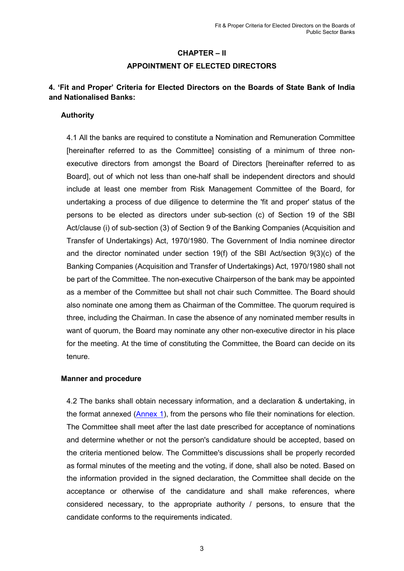# **CHAPTER – II APPOINTMENT OF ELECTED DIRECTORS**

# **4. 'Fit and Proper' Criteria for Elected Directors on the Boards of State Bank of India and Nationalised Banks:**

### **Authority**

4.1 All the banks are required to constitute a Nomination and Remuneration Committee [hereinafter referred to as the Committee] consisting of a minimum of three nonexecutive directors from amongst the Board of Directors [hereinafter referred to as Board], out of which not less than one-half shall be independent directors and should include at least one member from Risk Management Committee of the Board, for undertaking a process of due diligence to determine the 'fit and proper' status of the persons to be elected as directors under sub-section (c) of Section 19 of the SBI Act/clause (i) of sub-section (3) of Section 9 of the Banking Companies (Acquisition and Transfer of Undertakings) Act, 1970/1980. The Government of India nominee director and the director nominated under section 19(f) of the SBI Act/section 9(3)(c) of the Banking Companies (Acquisition and Transfer of Undertakings) Act, 1970/1980 shall not be part of the Committee. The non-executive Chairperson of the bank may be appointed as a member of the Committee but shall not chair such Committee. The Board should also nominate one among them as Chairman of the Committee. The quorum required is three, including the Chairman. In case the absence of any nominated member results in want of quorum, the Board may nominate any other non-executive director in his place for the meeting. At the time of constituting the Committee, the Board can decide on its tenure.

### **Manner and procedure**

4.2 The banks shall obtain necessary information, and a declaration & undertaking, in the format annexed [\(Annex 1\)](#page-26-0), from the persons who file their nominations for election. The Committee shall meet after the last date prescribed for acceptance of nominations and determine whether or not the person's candidature should be accepted, based on the criteria mentioned below. The Committee's discussions shall be properly recorded as formal minutes of the meeting and the voting, if done, shall also be noted. Based on the information provided in the signed declaration, the Committee shall decide on the acceptance or otherwise of the candidature and shall make references, where considered necessary, to the appropriate authority / persons, to ensure that the candidate conforms to the requirements indicated.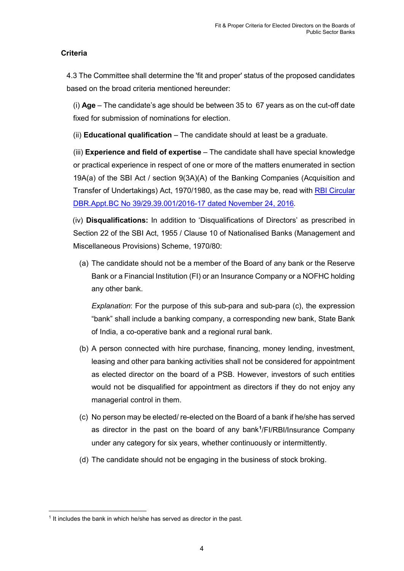# **Criteria**

4.3 The Committee shall determine the 'fit and proper' status of the proposed candidates based on the broad criteria mentioned hereunder:

(i) **Age** – The candidate's age should be between 35 to 67 years as on the cut-off date fixed for submission of nominations for election.

(ii) **Educational qualification** – The candidate should at least be a graduate.

(iii) **Experience and field of expertise** – The candidate shall have special knowledge or practical experience in respect of one or more of the matters enumerated in section 19A(a) of the SBI Act / section 9(3A)(A) of the Banking Companies (Acquisition and Transfer of Undertakings) Act, 1970/1980, as the case may be, read with [RBI Circular](https://www.rbi.org.in/Scripts/NotificationUser.aspx?Id=10736&Mode=0)  [DBR.Appt.BC No 39/29.39.001/2016-17](https://www.rbi.org.in/Scripts/NotificationUser.aspx?Id=10736&Mode=0) dated November 24, 2016*.*

(iv) **Disqualifications:** In addition to 'Disqualifications of Directors' as prescribed in Section 22 of the SBI Act, 1955 / Clause 10 of Nationalised Banks (Management and Miscellaneous Provisions) Scheme, 1970/80:

(a) The candidate should not be a member of the Board of any bank or the Reserve Bank or a Financial Institution (FI) or an Insurance Company or a NOFHC holding any other bank.

*Explanation*: For the purpose of this sub-para and sub-para (c), the expression "bank" shall include a banking company, a corresponding new bank, State Bank of India, a co-operative bank and a regional rural bank.

- (b) A person connected with hire purchase, financing, money lending, investment, leasing and other para banking activities shall not be considered for appointment as elected director on the board of a PSB. However, investors of such entities would not be disqualified for appointment as directors if they do not enjoy any managerial control in them.
- (c) No person may be elected/ re-elected on the Board of a bank if he/she has served as director in the past on the board of any bank**[1](#page-22-0)** /FI/RBI/Insurance Company under any category for six years, whether continuously or intermittently.
- (d) The candidate should not be engaging in the business of stock broking.

<span id="page-22-0"></span><sup>&</sup>lt;u>.</u>  $1$  It includes the bank in which he/she has served as director in the past.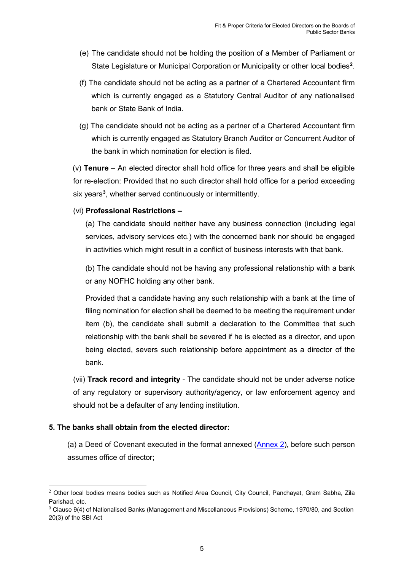- (e) The candidate should not be holding the position of a Member of Parliament or State Legislature or Municipal Corporation or Municipality or other local bodies**[2](#page-23-0)** .
- (f) The candidate should not be acting as a partner of a Chartered Accountant firm which is currently engaged as a Statutory Central Auditor of any nationalised bank or State Bank of India.
- (g) The candidate should not be acting as a partner of a Chartered Accountant firm which is currently engaged as Statutory Branch Auditor or Concurrent Auditor of the bank in which nomination for election is filed.

(v) **Tenure** – An elected director shall hold office for three years and shall be eligible for re-election: Provided that no such director shall hold office for a period exceeding six years**[3](#page-23-1)** , whether served continuously or intermittently.

### (vi) **Professional Restrictions –**

(a) The candidate should neither have any business connection (including legal services, advisory services etc.) with the concerned bank nor should be engaged in activities which might result in a conflict of business interests with that bank.

(b) The candidate should not be having any professional relationship with a bank or any NOFHC holding any other bank.

Provided that a candidate having any such relationship with a bank at the time of filing nomination for election shall be deemed to be meeting the requirement under item (b), the candidate shall submit a declaration to the Committee that such relationship with the bank shall be severed if he is elected as a director, and upon being elected, severs such relationship before appointment as a director of the bank.

(vii) **Track record and integrity** - The candidate should not be under adverse notice of any regulatory or supervisory authority/agency, or law enforcement agency and should not be a defaulter of any lending institution.

# **5. The banks shall obtain from the elected director:**

(a) a Deed of Covenant executed in the format annexed  $(An)$ , before such person assumes office of director;

<span id="page-23-0"></span> $2$  Other local bodies means bodies such as Notified Area Council, City Council, Panchayat, Gram Sabha, Zila Parishad, etc.

<span id="page-23-1"></span><sup>3</sup> Clause 9(4) of Nationalised Banks (Management and Miscellaneous Provisions) Scheme, 1970/80, and Section 20(3) of the SBI Act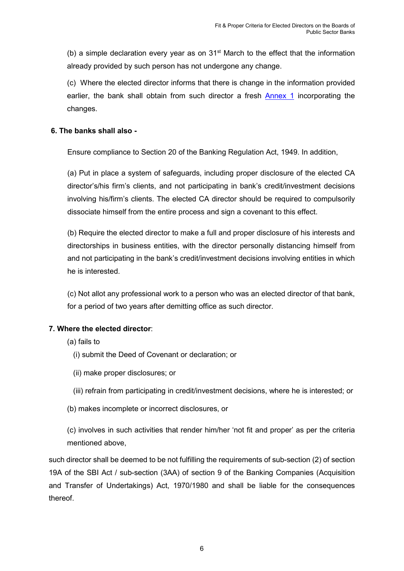(b) a simple declaration every year as on  $31<sup>st</sup>$  March to the effect that the information already provided by such person has not undergone any change.

(c) Where the elected director informs that there is change in the information provided earlier, the bank shall obtain from such director a fresh [Annex 1](#page-26-0) incorporating the changes.

# **6. The banks shall also -**

Ensure compliance to Section 20 of the Banking Regulation Act, 1949. In addition,

(a) Put in place a system of safeguards, including proper disclosure of the elected CA director's/his firm's clients, and not participating in bank's credit/investment decisions involving his/firm's clients. The elected CA director should be required to compulsorily dissociate himself from the entire process and sign a covenant to this effect.

(b) Require the elected director to make a full and proper disclosure of his interests and directorships in business entities, with the director personally distancing himself from and not participating in the bank's credit/investment decisions involving entities in which he is interested.

(c) Not allot any professional work to a person who was an elected director of that bank, for a period of two years after demitting office as such director.

# **7. Where the elected director**:

- (a) fails to
	- (i) submit the Deed of Covenant or declaration; or
	- (ii) make proper disclosures; or
	- (iii) refrain from participating in credit/investment decisions, where he is interested; or
- (b) makes incomplete or incorrect disclosures, or

(c) involves in such activities that render him/her 'not fit and proper' as per the criteria mentioned above,

such director shall be deemed to be not fulfilling the requirements of sub-section (2) of section 19A of the SBI Act / sub-section (3AA) of section 9 of the Banking Companies (Acquisition and Transfer of Undertakings) Act, 1970/1980 and shall be liable for the consequences thereof.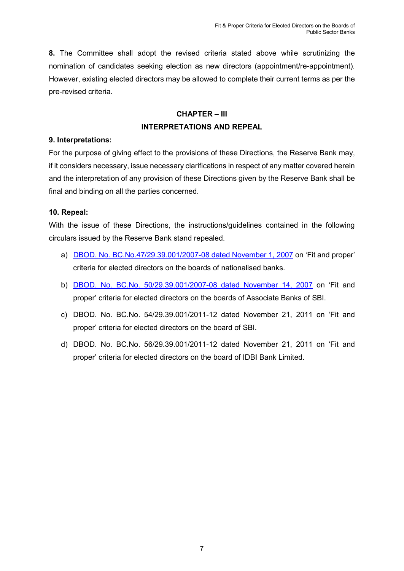**8.** The Committee shall adopt the revised criteria stated above while scrutinizing the nomination of candidates seeking election as new directors (appointment/re-appointment). However, existing elected directors may be allowed to complete their current terms as per the pre-revised criteria.

# **CHAPTER – III INTERPRETATIONS AND REPEAL**

### **9. Interpretations:**

For the purpose of giving effect to the provisions of these Directions, the Reserve Bank may, if it considers necessary, issue necessary clarifications in respect of any matter covered herein and the interpretation of any provision of these Directions given by the Reserve Bank shall be final and binding on all the parties concerned.

### **10. Repeal:**

With the issue of these Directions, the instructions/guidelines contained in the following circulars issued by the Reserve Bank stand repealed.

- a) [DBOD. No. BC.No.47/29.39.001/2007-08 dated November 1, 2007](https://www.rbi.org.in/Scripts/NotificationUser.aspx?Id=3916&Mode=0) on 'Fit and proper' criteria for elected directors on the boards of nationalised banks.
- b) [DBOD. No. BC.No. 50/29.39.001/2007-08 dated November 14, 2007](https://www.rbi.org.in/Scripts/NotificationUser.aspx?Id=3935&Mode=0) on 'Fit and proper' criteria for elected directors on the boards of Associate Banks of SBI.
- c) DBOD. No. BC.No. 54/29.39.001/2011-12 dated November 21, 2011 on 'Fit and proper' criteria for elected directors on the board of SBI.
- d) DBOD. No. BC.No. 56/29.39.001/2011-12 dated November 21, 2011 on 'Fit and proper' criteria for elected directors on the board of IDBI Bank Limited.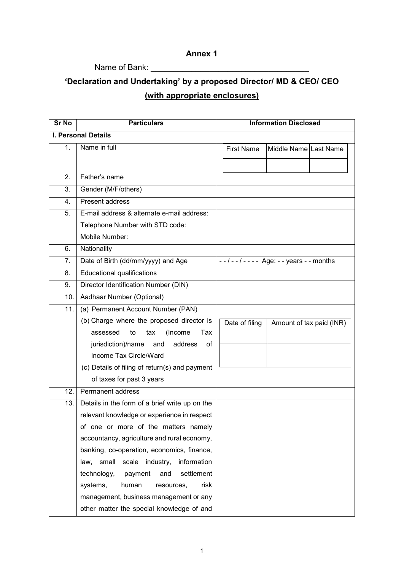# **Annex 1**

# Name of Bank: \_\_\_\_\_\_\_\_\_\_\_\_\_\_\_\_\_\_\_\_\_\_\_\_\_\_\_\_\_\_\_\_\_\_\_

# <span id="page-26-0"></span>**'Declaration and Undertaking' by a proposed Director/ MD & CEO/ CEO (with appropriate enclosures)**

| <b>Sr No</b>  | <b>Particulars</b>                              |                   | <b>Information Disclosed</b>                 |  |
|---------------|-------------------------------------------------|-------------------|----------------------------------------------|--|
|               | <b>I. Personal Details</b>                      |                   |                                              |  |
| $\mathbf 1$ . | Name in full                                    | <b>First Name</b> | Middle Name Last Name                        |  |
|               |                                                 |                   |                                              |  |
| 2.            | Father's name                                   |                   |                                              |  |
| 3.            | Gender (M/F/others)                             |                   |                                              |  |
| 4.            | Present address                                 |                   |                                              |  |
| 5.            | E-mail address & alternate e-mail address:      |                   |                                              |  |
|               | Telephone Number with STD code:                 |                   |                                              |  |
|               | Mobile Number:                                  |                   |                                              |  |
| 6.            | Nationality                                     |                   |                                              |  |
| 7.            | Date of Birth (dd/mm/yyyy) and Age              |                   | $-1 - 1 - 1 - - -$ Age: - - years - - months |  |
| 8.            | <b>Educational qualifications</b>               |                   |                                              |  |
| 9.            | Director Identification Number (DIN)            |                   |                                              |  |
| 10.           | Aadhaar Number (Optional)                       |                   |                                              |  |
| 11.           | (a) Permanent Account Number (PAN)              |                   |                                              |  |
|               | (b) Charge where the proposed director is       | Date of filing    | Amount of tax paid (INR)                     |  |
|               | Tax<br>assessed<br>(Income<br>to<br>tax         |                   |                                              |  |
|               | jurisdiction)/name<br>address<br>and<br>of      |                   |                                              |  |
|               | Income Tax Circle/Ward                          |                   |                                              |  |
|               | (c) Details of filing of return(s) and payment  |                   |                                              |  |
|               | of taxes for past 3 years                       |                   |                                              |  |
| 12.           | Permanent address                               |                   |                                              |  |
| 13.           | Details in the form of a brief write up on the  |                   |                                              |  |
|               | relevant knowledge or experience in respect     |                   |                                              |  |
|               | of one or more of the matters namely            |                   |                                              |  |
|               | accountancy, agriculture and rural economy,     |                   |                                              |  |
|               | banking, co-operation, economics, finance,      |                   |                                              |  |
|               | scale industry,<br>information<br>law,<br>small |                   |                                              |  |
|               | technology,<br>settlement<br>payment<br>and     |                   |                                              |  |
|               | systems,<br>human<br>risk<br>resources,         |                   |                                              |  |
|               | management, business management or any          |                   |                                              |  |
|               | other matter the special knowledge of and       |                   |                                              |  |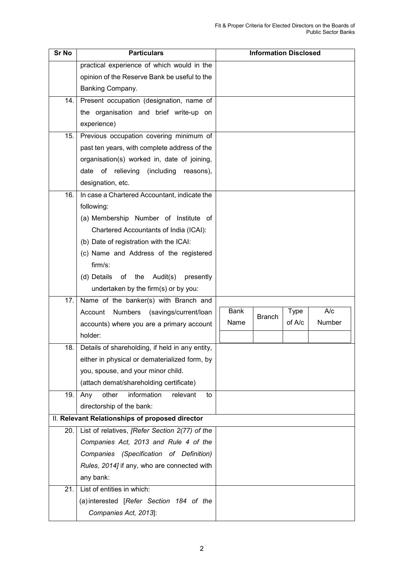| <b>Sr No</b> | <b>Particulars</b>                              |             | <b>Information Disclosed</b> |        |                  |
|--------------|-------------------------------------------------|-------------|------------------------------|--------|------------------|
|              | practical experience of which would in the      |             |                              |        |                  |
|              | opinion of the Reserve Bank be useful to the    |             |                              |        |                  |
|              | Banking Company.                                |             |                              |        |                  |
| 14.          | Present occupation (designation, name of        |             |                              |        |                  |
|              | the organisation and brief write-up on          |             |                              |        |                  |
|              | experience)                                     |             |                              |        |                  |
| 15.          | Previous occupation covering minimum of         |             |                              |        |                  |
|              | past ten years, with complete address of the    |             |                              |        |                  |
|              | organisation(s) worked in, date of joining,     |             |                              |        |                  |
|              | of relieving<br>(including<br>date<br>reasons), |             |                              |        |                  |
|              | designation, etc.                               |             |                              |        |                  |
| 16.          | In case a Chartered Accountant, indicate the    |             |                              |        |                  |
|              | following:                                      |             |                              |        |                  |
|              | (a) Membership Number of Institute of           |             |                              |        |                  |
|              | Chartered Accountants of India (ICAI):          |             |                              |        |                  |
|              | (b) Date of registration with the ICAI:         |             |                              |        |                  |
|              | (c) Name and Address of the registered          |             |                              |        |                  |
|              | $firm/s$ :                                      |             |                              |        |                  |
|              | (d) Details<br>of the Audit(s)<br>presently     |             |                              |        |                  |
|              | undertaken by the firm(s) or by you:            |             |                              |        |                  |
| 17.          | Name of the banker(s) with Branch and           |             |                              |        |                  |
|              | (savings/current/loan<br>Numbers<br>Account     | <b>Bank</b> | <b>Branch</b>                | Type   | $\overline{A/c}$ |
|              | accounts) where you are a primary account       | Name        |                              | of A/c | Number           |
|              | holder:                                         |             |                              |        |                  |
| 18.          | Details of shareholding, if held in any entity, |             |                              |        |                  |
|              | either in physical or dematerialized form, by   |             |                              |        |                  |
|              | you, spouse, and your minor child.              |             |                              |        |                  |
|              | (attach demat/shareholding certificate)         |             |                              |        |                  |
| 19.          | information<br>other<br>relevant<br>Any<br>to   |             |                              |        |                  |
|              | directorship of the bank:                       |             |                              |        |                  |
|              | II. Relevant Relationships of proposed director |             |                              |        |                  |
| 20.          | List of relatives, [Refer Section 2(77) of the  |             |                              |        |                  |
|              | Companies Act, 2013 and Rule 4 of the           |             |                              |        |                  |
|              | Companies (Specification of Definition)         |             |                              |        |                  |
|              | Rules, 2014] if any, who are connected with     |             |                              |        |                  |
|              | any bank:                                       |             |                              |        |                  |
| 21.          | List of entities in which:                      |             |                              |        |                  |
|              | (a) interested [Refer Section 184 of the        |             |                              |        |                  |
|              | Companies Act, 2013]:                           |             |                              |        |                  |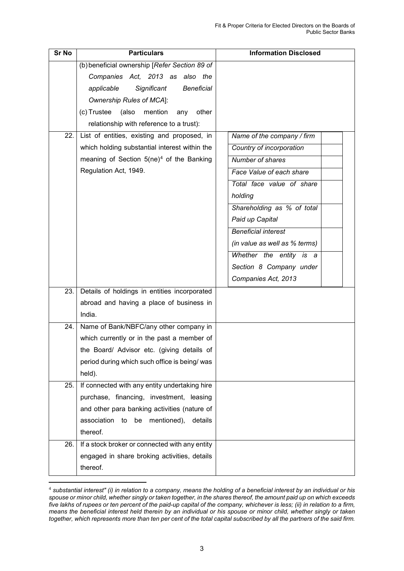| <b>Sr No</b> | <b>Particulars</b>                                   | <b>Information Disclosed</b>  |
|--------------|------------------------------------------------------|-------------------------------|
|              | (b) beneficial ownership [Refer Section 89 of        |                               |
|              | Companies Act, 2013 as also the                      |                               |
|              | <b>Beneficial</b><br>applicable<br>Significant       |                               |
|              | <b>Ownership Rules of MCA]:</b>                      |                               |
|              | (c) Trustee (also<br>mention<br>other<br>any         |                               |
|              | relationship with reference to a trust):             |                               |
| 22.          | List of entities, existing and proposed, in          | Name of the company / firm    |
|              | which holding substantial interest within the        | Country of incorporation      |
|              | meaning of Section 5(ne) <sup>4</sup> of the Banking | Number of shares              |
|              | Regulation Act, 1949.                                | Face Value of each share      |
|              |                                                      | Total face value of share     |
|              |                                                      | holding                       |
|              |                                                      | Shareholding as % of total    |
|              |                                                      | Paid up Capital               |
|              |                                                      | <b>Beneficial interest</b>    |
|              |                                                      | (in value as well as % terms) |
|              |                                                      | Whether the entity is a       |
|              |                                                      | Section 8 Company under       |
|              |                                                      | Companies Act, 2013           |
| 23.          | Details of holdings in entities incorporated         |                               |
|              | abroad and having a place of business in             |                               |
|              | India.                                               |                               |
| 24.          | Name of Bank/NBFC/any other company in               |                               |
|              | which currently or in the past a member of           |                               |
|              | the Board/ Advisor etc. (giving details of           |                               |
|              | period during which such office is being/ was        |                               |
|              | held).                                               |                               |
| 25.          | If connected with any entity undertaking hire        |                               |
|              | purchase, financing, investment, leasing             |                               |
|              | and other para banking activities (nature of         |                               |
|              | association to be mentioned),<br>details             |                               |
|              | thereof.                                             |                               |
| 26.          | If a stock broker or connected with any entity       |                               |
|              | engaged in share broking activities, details         |                               |
|              | thereof.                                             |                               |

<span id="page-28-0"></span> <sup>4</sup> *substantial interest" (i) in relation to a company, means the holding of a beneficial interest by an individual or his spouse or minor child, whether singly or taken together, in the shares thereof, the amount paid up on which exceeds five lakhs of rupees or ten percent of the paid-up capital of the company, whichever is less; (ii) in relation to a firm, means the beneficial interest held therein by an individual or his spouse or minor child, whether singly or taken together, which represents more than ten per cent of the total capital subscribed by all the partners of the said firm.*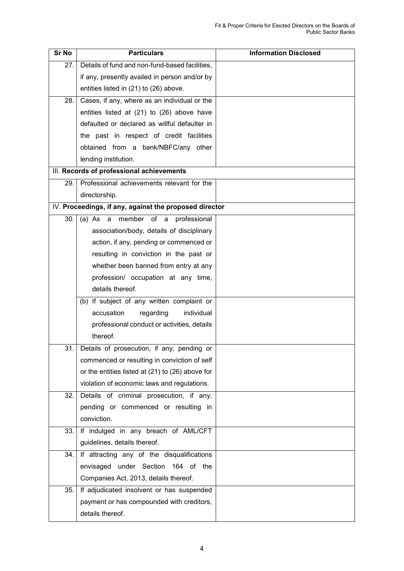| <b>Sr No</b> | <b>Particulars</b>                                     | <b>Information Disclosed</b> |
|--------------|--------------------------------------------------------|------------------------------|
| 27.1         | Details of fund and non-fund-based facilities,         |                              |
|              | if any, presently availed in person and/or by          |                              |
|              | entities listed in (21) to (26) above.                 |                              |
| 28.          | Cases, if any, where as an individual or the           |                              |
|              | entities listed at (21) to (26) above have             |                              |
|              | defaulted or declared as willful defaulter in          |                              |
|              | the past in respect of credit facilities               |                              |
|              | obtained from a bank/NBFC/any other                    |                              |
|              | lending institution.                                   |                              |
|              | III. Records of professional achievements              |                              |
| 29. l        | Professional achievements relevant for the             |                              |
|              | directorship.                                          |                              |
|              | IV. Proceedings, if any, against the proposed director |                              |
| 30.1         | member of a<br>(a) As<br>professional<br>a             |                              |
|              | association/body, details of disciplinary              |                              |
|              | action, if any, pending or commenced or                |                              |
|              | resulting in conviction in the past or                 |                              |
|              | whether been banned from entry at any                  |                              |
|              | profession/ occupation at any time,                    |                              |
|              | details thereof.                                       |                              |
|              | (b) If subject of any written complaint or             |                              |
|              | accusation<br>regarding<br>individual                  |                              |
|              | professional conduct or activities, details            |                              |
|              | thereof.                                               |                              |
| 31.          | Details of prosecution, if any, pending or             |                              |
|              | commenced or resulting in conviction of self           |                              |
|              | or the entities listed at (21) to (26) above for       |                              |
|              | violation of economic laws and regulations.            |                              |
| 32.          | Details of criminal prosecution, if any,               |                              |
|              | pending or commenced or resulting in                   |                              |
|              | conviction.                                            |                              |
| 33.          | If indulged in any breach of AML/CFT                   |                              |
|              | guidelines, details thereof.                           |                              |
| 34.          | If attracting any of the disqualifications             |                              |
|              | envisaged under Section 164 of the                     |                              |
|              | Companies Act, 2013, details thereof.                  |                              |
| 35.          | If adjudicated insolvent or has suspended              |                              |
|              | payment or has compounded with creditors,              |                              |
|              | details thereof.                                       |                              |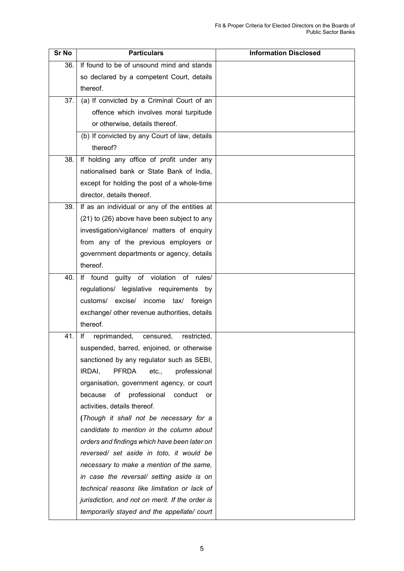| <b>Sr No</b> | <b>Particulars</b>                              | <b>Information Disclosed</b> |
|--------------|-------------------------------------------------|------------------------------|
| 36.          | If found to be of unsound mind and stands       |                              |
|              | so declared by a competent Court, details       |                              |
|              | thereof.                                        |                              |
| 37.          | (a) If convicted by a Criminal Court of an      |                              |
|              | offence which involves moral turpitude          |                              |
|              | or otherwise, details thereof.                  |                              |
|              | (b) If convicted by any Court of law, details   |                              |
|              | thereof?                                        |                              |
| 38.          | If holding any office of profit under any       |                              |
|              | nationalised bank or State Bank of India,       |                              |
|              | except for holding the post of a whole-time     |                              |
|              | director, details thereof.                      |                              |
| 39.          | If as an individual or any of the entities at   |                              |
|              | (21) to (26) above have been subject to any     |                              |
|              | investigation/vigilance/ matters of enquiry     |                              |
|              | from any of the previous employers or           |                              |
|              | government departments or agency, details       |                              |
|              | thereof.                                        |                              |
| 40.          | If found guilty of violation of rules/          |                              |
|              | regulations/ legislative requirements by        |                              |
|              | customs/ excise/ income<br>tax/<br>foreign      |                              |
|              | exchange/ other revenue authorities, details    |                              |
|              | thereof.                                        |                              |
| 41.          | reprimanded,<br>lf<br>censured,<br>restricted,  |                              |
|              | suspended, barred, enjoined, or otherwise       |                              |
|              | sanctioned by any regulator such as SEBI,       |                              |
|              | IRDAI,<br><b>PFRDA</b><br>professional<br>etc., |                              |
|              | organisation, government agency, or court       |                              |
|              | professional<br>because<br>of<br>conduct<br>or  |                              |
|              | activities, details thereof.                    |                              |
|              | (Though it shall not be necessary for a         |                              |
|              | candidate to mention in the column about        |                              |
|              | orders and findings which have been later on    |                              |
|              | reversed/ set aside in toto, it would be        |                              |
|              | necessary to make a mention of the same,        |                              |
|              | in case the reversal/ setting aside is on       |                              |
|              | technical reasons like limitation or lack of    |                              |
|              | jurisdiction, and not on merit. If the order is |                              |
|              | temporarily stayed and the appellate/court      |                              |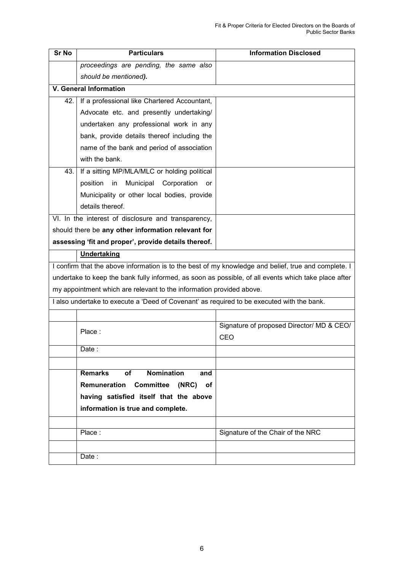| <b>Sr No</b> | <b>Particulars</b>                                                                                   | <b>Information Disclosed</b>              |
|--------------|------------------------------------------------------------------------------------------------------|-------------------------------------------|
|              | proceedings are pending, the same also                                                               |                                           |
|              | should be mentioned).                                                                                |                                           |
|              | <b>V. General Information</b>                                                                        |                                           |
| 42. l        | If a professional like Chartered Accountant,                                                         |                                           |
|              | Advocate etc. and presently undertaking/                                                             |                                           |
|              | undertaken any professional work in any                                                              |                                           |
|              | bank, provide details thereof including the                                                          |                                           |
|              | name of the bank and period of association                                                           |                                           |
|              | with the bank.                                                                                       |                                           |
| 43.          | If a sitting MP/MLA/MLC or holding political                                                         |                                           |
|              | position<br>in<br>Municipal<br>Corporation<br>or                                                     |                                           |
|              | Municipality or other local bodies, provide                                                          |                                           |
|              | details thereof.                                                                                     |                                           |
|              | VI. In the interest of disclosure and transparency,                                                  |                                           |
|              | should there be any other information relevant for                                                   |                                           |
|              | assessing 'fit and proper', provide details thereof.                                                 |                                           |
|              | Undertaking                                                                                          |                                           |
|              | I confirm that the above information is to the best of my knowledge and belief, true and complete. I |                                           |
|              | undertake to keep the bank fully informed, as soon as possible, of all events which take place after |                                           |
|              | my appointment which are relevant to the information provided above.                                 |                                           |
|              | I also undertake to execute a 'Deed of Covenant' as required to be executed with the bank.           |                                           |
|              |                                                                                                      |                                           |
|              | Place:                                                                                               | Signature of proposed Director/ MD & CEO/ |
|              |                                                                                                      | CEO                                       |
|              | Date :                                                                                               |                                           |
|              |                                                                                                      |                                           |
|              | <b>Remarks</b><br><b>Nomination</b><br><b>of</b><br>and                                              |                                           |
|              | <b>Remuneration Committee</b><br>(NRC)<br>οf                                                         |                                           |
|              | having satisfied itself that the above                                                               |                                           |
|              | information is true and complete.                                                                    |                                           |
|              |                                                                                                      |                                           |
|              | Place:                                                                                               | Signature of the Chair of the NRC         |
|              |                                                                                                      |                                           |
|              | Date:                                                                                                |                                           |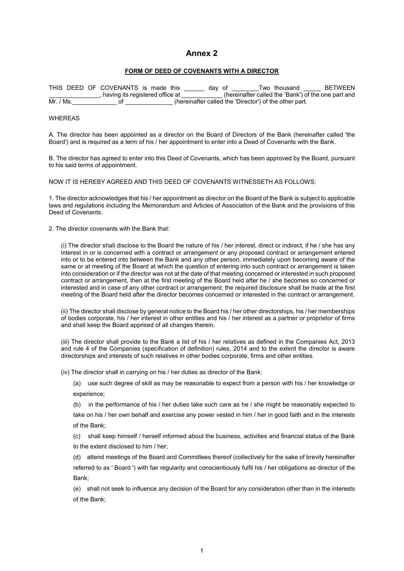### **Annex 2**

#### **FORM OF DEED OF COVENANTS WITH A DIRECTOR**

<span id="page-32-0"></span>THIS DEED OF COVENANTS is made this \_\_\_\_\_\_ day of \_\_\_\_\_\_Two thousand \_\_\_\_\_ BETWEEN<br>\_\_\_\_\_\_\_\_\_\_\_\_\_\_\_, having its registered office at \_\_\_\_\_\_\_\_\_\_\_(hereinafter called the 'Bank') of the one part and The between the contract of the inducturity is made this the contract of the contract of the one part and the 'Bank') of the one part and  $Mr$ . (Ms. Mr. Chicago and the Sainty of the Sainty of the Sainty of the other part.

#### WHEREAS

A. The director has been appointed as a director on the Board of Directors of the Bank (hereinafter called 'the Board') and is required as a term of his / her appointment to enter into a Deed of Covenants with the Bank.

B. The director has agreed to enter into this Deed of Covenants, which has been approved by the Board, pursuant to his said terms of appointment.

NOW IT IS HEREBY AGREED AND THIS DEED OF COVENANTS WITNESSETH AS FOLLOWS:

1. The director acknowledges that his / her appointment as director on the Board of the Bank is subject to applicable laws and regulations including the Memorandum and Articles of Association of the Bank and the provisions of this Deed of Covenants.

2. The director covenants with the Bank that:

(i) The director shall disclose to the Board the nature of his / her interest, direct or indirect, if he / she has any interest in or is concerned with a contract or arrangement or any proposed contract or arrangement entered into or to be entered into between the Bank and any other person, immediately upon becoming aware of the same or at meeting of the Board at which the question of entering into such contract or arrangement is taken into consideration or if the director was not at the date of that meeting concerned or interested in such proposed contract or arrangement, then at the first meeting of the Board held after he / she becomes so concerned or interested and in case of any other contract or arrangement, the required disclosure shall be made at the first meeting of the Board held after the director becomes concerned or interested in the contract or arrangement.

(ii) The director shall disclose by general notice to the Board his / her other directorships, his / her memberships of bodies corporate, his / her interest in other entities and his / her interest as a partner or proprietor of firms and shall keep the Board apprised of all changes therein.

(iii) The director shall provide to the Bank a list of his / her relatives as defined in the Companies Act, 2013 and rule 4 of the Companies (specification of definition) rules, 2014 and to the extent the director is aware directorships and interests of such relatives in other bodies corporate, firms and other entities.

(iv) The director shall in carrying on his / her duties as director of the Bank:

(a) use such degree of skill as may be reasonable to expect from a person with his / her knowledge or experience;

(b) in the performance of his / her duties take such care as he / she might be reasonably expected to take on his / her own behalf and exercise any power vested in him / her in good faith and in the interests of the Bank;

(c) shall keep himself / herself informed about the business, activities and financial status of the Bank to the extent disclosed to him / her;

(d) attend meetings of the Board and Committees thereof (collectively for the sake of brevity hereinafter referred to as ' Board ') with fair regularity and conscientiously fulfil his / her obligations as director of the Bank;

(e) shall not seek to influence any decision of the Board for any consideration other than in the interests of the Bank;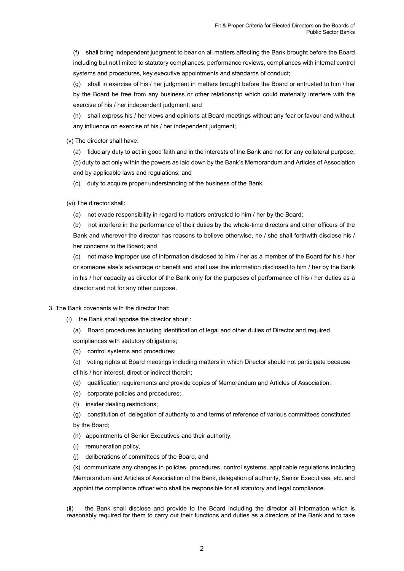(f) shall bring independent judgment to bear on all matters affecting the Bank brought before the Board including but not limited to statutory compliances, performance reviews, compliances with internal control systems and procedures, key executive appointments and standards of conduct;

(g) shall in exercise of his / her judgment in matters brought before the Board or entrusted to him / her by the Board be free from any business or other relationship which could materially interfere with the exercise of his / her independent judgment; and

(h) shall express his / her views and opinions at Board meetings without any fear or favour and without any influence on exercise of his / her independent judgment;

(v) The director shall have:

(a) fiduciary duty to act in good faith and in the interests of the Bank and not for any collateral purpose; (b) duty to act only within the powers as laid down by the Bank's Memorandum and Articles of Association and by applicable laws and regulations; and

(c) duty to acquire proper understanding of the business of the Bank.

(vi) The director shall:

(a) not evade responsibility in regard to matters entrusted to him / her by the Board;

(b) not interfere in the performance of their duties by the whole-time directors and other officers of the Bank and wherever the director has reasons to believe otherwise, he / she shall forthwith disclose his / her concerns to the Board; and

(c) not make improper use of information disclosed to him / her as a member of the Board for his / her or someone else's advantage or benefit and shall use the information disclosed to him / her by the Bank in his / her capacity as director of the Bank only for the purposes of performance of his / her duties as a director and not for any other purpose.

#### 3. The Bank covenants with the director that:

(i) the Bank shall apprise the director about :

(a) Board procedures including identification of legal and other duties of Director and required compliances with statutory obligations;

- (b) control systems and procedures;
- (c) voting rights at Board meetings including matters in which Director should not participate because

of his / her interest, direct or indirect therein;

- (d) qualification requirements and provide copies of Memorandum and Articles of Association;
- (e) corporate policies and procedures;
- (f) insider dealing restrictions;

(g) constitution of, delegation of authority to and terms of reference of various committees constituted by the Board;

- (h) appointments of Senior Executives and their authority;
- (i) remuneration policy,
- (j) deliberations of committees of the Board, and

(k) communicate any changes in policies, procedures, control systems, applicable regulations including Memorandum and Articles of Association of the Bank, delegation of authority, Senior Executives, etc. and appoint the compliance officer who shall be responsible for all statutory and legal compliance.

(ii) the Bank shall disclose and provide to the Board including the director all information which is reasonably required for them to carry out their functions and duties as a directors of the Bank and to take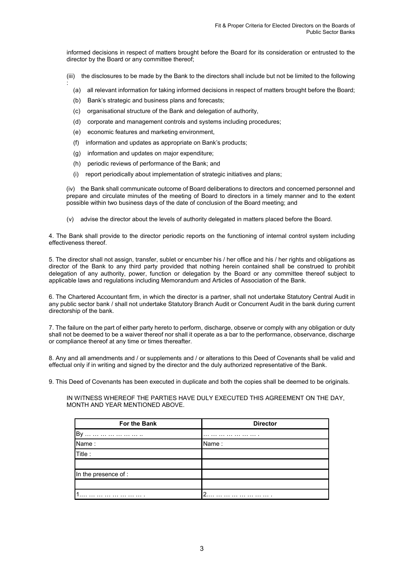informed decisions in respect of matters brought before the Board for its consideration or entrusted to the director by the Board or any committee thereof;

- (iii) the disclosures to be made by the Bank to the directors shall include but not be limited to the following
	- (a) all relevant information for taking informed decisions in respect of matters brought before the Board;
	- (b) Bank's strategic and business plans and forecasts;

:

- (c) organisational structure of the Bank and delegation of authority,
- (d) corporate and management controls and systems including procedures;
- (e) economic features and marketing environment,
- (f) information and updates as appropriate on Bank's products;
- (g) information and updates on major expenditure;
- (h) periodic reviews of performance of the Bank; and
- (i) report periodically about implementation of strategic initiatives and plans;

(iv) the Bank shall communicate outcome of Board deliberations to directors and concerned personnel and prepare and circulate minutes of the meeting of Board to directors in a timely manner and to the extent possible within two business days of the date of conclusion of the Board meeting; and

(v) advise the director about the levels of authority delegated in matters placed before the Board.

4. The Bank shall provide to the director periodic reports on the functioning of internal control system including effectiveness thereof.

5. The director shall not assign, transfer, sublet or encumber his / her office and his / her rights and obligations as director of the Bank to any third party provided that nothing herein contained shall be construed to prohibit delegation of any authority, power, function or delegation by the Board or any committee thereof subject to applicable laws and regulations including Memorandum and Articles of Association of the Bank.

6. The Chartered Accountant firm, in which the director is a partner, shall not undertake Statutory Central Audit in any public sector bank / shall not undertake Statutory Branch Audit or Concurrent Audit in the bank during current directorship of the bank.

7. The failure on the part of either party hereto to perform, discharge, observe or comply with any obligation or duty shall not be deemed to be a waiver thereof nor shall it operate as a bar to the performance, observance, discharge or compliance thereof at any time or times thereafter.

8. Any and all amendments and / or supplements and / or alterations to this Deed of Covenants shall be valid and effectual only if in writing and signed by the director and the duly authorized representative of the Bank.

9. This Deed of Covenants has been executed in duplicate and both the copies shall be deemed to be originals.

#### IN WITNESS WHEREOF THE PARTIES HAVE DULY EXECUTED THIS AGREEMENT ON THE DAY, MONTH AND YEAR MENTIONED ABOVE.

| For the Bank         | <b>Director</b> |
|----------------------|-----------------|
| <b>By</b>            |                 |
| Name:                | Name:           |
| Title:               |                 |
|                      |                 |
| In the presence of : |                 |
|                      |                 |
|                      | $\Omega$        |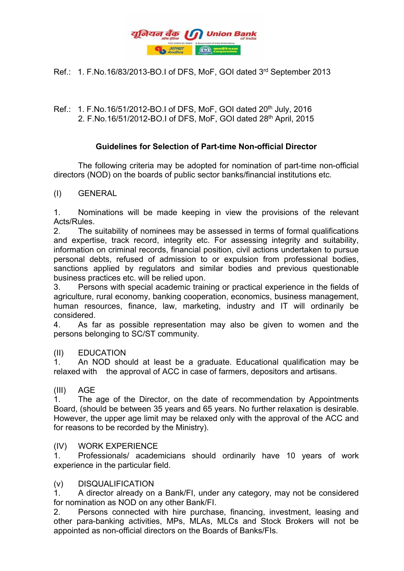

Ref.: 1. F.No.16/83/2013-BO.I of DFS, MoF, GOI dated 3rd September 2013

Ref.: 1. F.No.16/51/2012-BO.I of DFS, MoF, GOI dated 20<sup>th</sup> July, 2016 2. F.No.16/51/2012-BO.I of DFS, MoF, GOI dated 28<sup>th</sup> April, 2015

# **Guidelines for Selection of Part-time Non-official Director**

The following criteria may be adopted for nomination of part-time non-official directors (NOD) on the boards of public sector banks/financial institutions etc.

(I) GENERAL

1. Nominations will be made keeping in view the provisions of the relevant Acts/Rules.

2. The suitability of nominees may be assessed in terms of formal qualifications and expertise, track record, integrity etc. For assessing integrity and suitability, information on criminal records, financial position, civil actions undertaken to pursue personal debts, refused of admission to or expulsion from professional bodies, sanctions applied by regulators and similar bodies and previous questionable business practices etc. will be relied upon.

3. Persons with special academic training or practical experience in the fields of agriculture, rural economy, banking cooperation, economics, business management, human resources, finance, law, marketing, industry and IT will ordinarily be considered.

4. As far as possible representation may also be given to women and the persons belonging to SC/ST community.

# (II) EDUCATION

1. An NOD should at least be a graduate. Educational qualification may be relaxed with the approval of ACC in case of farmers, depositors and artisans.

# (III) AGE

1. The age of the Director, on the date of recommendation by Appointments Board, (should be between 35 years and 65 years. No further relaxation is desirable. However, the upper age limit may be relaxed only with the approval of the ACC and for reasons to be recorded by the Ministry).

# (IV) WORK EXPERIENCE

1. Professionals/ academicians should ordinarily have 10 years of work experience in the particular field.

# (v) DISQUALIFICATION

1. A director already on a Bank/FI, under any category, may not be considered for nomination as NOD on any other Bank/FI.

2. Persons connected with hire purchase, financing, investment, leasing and other para-banking activities, MPs, MLAs, MLCs and Stock Brokers will not be appointed as non-official directors on the Boards of Banks/FIs.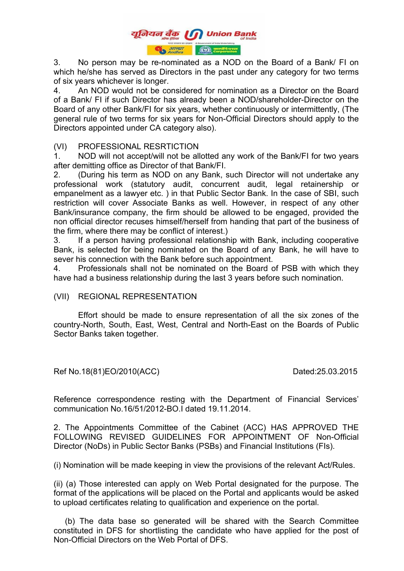

3. No person may be re-nominated as a NOD on the Board of a Bank/ FI on which he/she has served as Directors in the past under any category for two terms of six years whichever is longer.

4. An NOD would not be considered for nomination as a Director on the Board of a Bank/ FI if such Director has already been a NOD/shareholder-Director on the Board of any other Bank/FI for six years, whether continuously or intermittently, (The general rule of two terms for six years for Non-Official Directors should apply to the Directors appointed under CA category also).

### (VI) PROFESSIONAL RESRTICTION

1. NOD will not accept/will not be allotted any work of the Bank/FI for two years after demitting office as Director of that Bank/FI.

2. (During his term as NOD on any Bank, such Director will not undertake any professional work (statutory audit, concurrent audit, legal retainership or empanelment as a lawyer etc. ) in that Public Sector Bank. In the case of SBI, such restriction will cover Associate Banks as well. However, in respect of any other Bank/insurance company, the firm should be allowed to be engaged, provided the non official director recuses himself/herself from handing that part of the business of the firm, where there may be conflict of interest.)

3. If a person having professional relationship with Bank, including cooperative Bank, is selected for being nominated on the Board of any Bank, he will have to sever his connection with the Bank before such appointment.

4. Professionals shall not be nominated on the Board of PSB with which they have had a business relationship during the last 3 years before such nomination.

### (VII) REGIONAL REPRESENTATION

Effort should be made to ensure representation of all the six zones of the country-North, South, East, West, Central and North-East on the Boards of Public Sector Banks taken together.

Ref No.18(81)EO/2010(ACC) Dated:25.03.2015

Reference correspondence resting with the Department of Financial Services' communication No.16/51/2012-BO.I dated 19.11.2014.

2. The Appointments Committee of the Cabinet (ACC) HAS APPROVED THE FOLLOWING REVISED GUIDELINES FOR APPOINTMENT OF Non-Official Director (NoDs) in Public Sector Banks (PSBs) and Financial Institutions (FIs).

(i) Nomination will be made keeping in view the provisions of the relevant Act/Rules.

(ii) (a) Those interested can apply on Web Portal designated for the purpose. The format of the applications will be placed on the Portal and applicants would be asked to upload certificates relating to qualification and experience on the portal.

 (b) The data base so generated will be shared with the Search Committee constituted in DFS for shortlisting the candidate who have applied for the post of Non-Official Directors on the Web Portal of DFS.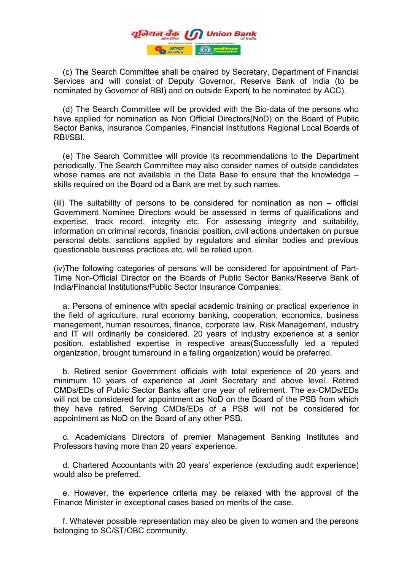

 (c) The Search Committee shall be chaired by Secretary, Department of Financial Services and will consist of Deputy Governor, Reserve Bank of India (to be nominated by Governor of RBI) and on outside Expert( to be nominated by ACC).

 (d) The Search Committee will be provided with the Bio-data of the persons who have applied for nomination as Non Official Directors(NoD) on the Board of Public Sector Banks, Insurance Companies, Financial Institutions Regional Local Boards of RBI/SBI.

 (e) The Search Committee will provide its recommendations to the Department periodically. The Search Committee may also consider names of outside candidates whose names are not available in the Data Base to ensure that the knowledge – skills required on the Board od a Bank are met by such names.

(iii) The suitability of persons to be considered for nomination as non – official Government Nominee Directors would be assessed in terms of qualifications and expertise, track record, integrity etc. For assessing integrity and suitability, information on criminal records, financial position, civil actions undertaken on pursue personal debts, sanctions applied by regulators and similar bodies and previous questionable business practices etc. will be relied upon.

(iv)The following categories of persons will be considered for appointment of Part-Time Non-Official Director on the Boards of Public Sector Banks/Reserve Bank of India/Financial Institutions/Public Sector Insurance Companies:

 a. Persons of eminence with special academic training or practical experience in the field of agriculture, rural economy banking, cooperation, economics, business management, human resources, finance, corporate law, Risk Management, industry and IT will ordinarily be considered. 20 years of industry experience at a senior position, established expertise in respective areas(Successfully led a reputed organization, brought turnaround in a failing organization) would be preferred.

 b. Retired senior Government officials with total experience of 20 years and minimum 10 years of experience at Joint Secretary and above level. Retired CMDs/EDs of Public Sector Banks after one year of retirement. The ex-CMDs/EDs will not be considered for appointment as NoD on the Board of the PSB from which they have retired. Serving CMDs/EDs of a PSB will not be considered for appointment as NoD on the Board of any other PSB.

 c. Academicians Directors of premier Management Banking Institutes and Professors having more than 20 years' experience.

 d. Chartered Accountants with 20 years' experience (excluding audit experience) would also be preferred.

 e. However, the experience criteria may be relaxed with the approval of the Finance Minister in exceptional cases based on merits of the case.

 f. Whatever possible representation may also be given to women and the persons belonging to SC/ST/OBC community.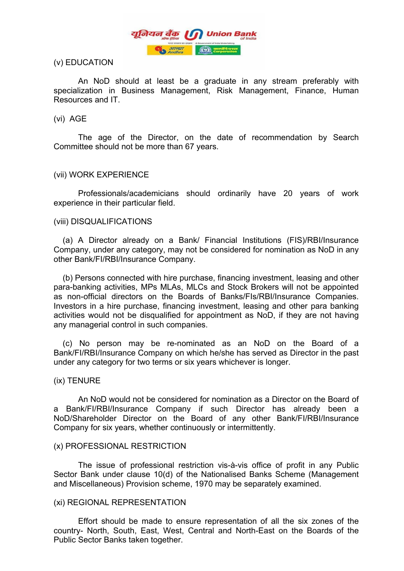

### (v) EDUCATION

An NoD should at least be a graduate in any stream preferably with specialization in Business Management, Risk Management, Finance, Human Resources and IT.

### (vi) AGE

The age of the Director, on the date of recommendation by Search Committee should not be more than 67 years.

### (vii) WORK EXPERIENCE

Professionals/academicians should ordinarily have 20 years of work experience in their particular field.

### (viii) DISQUALIFICATIONS

 (a) A Director already on a Bank/ Financial Institutions (FIS)/RBI/Insurance Company, under any category, may not be considered for nomination as NoD in any other Bank/FI/RBI/Insurance Company.

 (b) Persons connected with hire purchase, financing investment, leasing and other para-banking activities, MPs MLAs, MLCs and Stock Brokers will not be appointed as non-official directors on the Boards of Banks/FIs/RBI/Insurance Companies. Investors in a hire purchase, financing investment, leasing and other para banking activities would not be disqualified for appointment as NoD, if they are not having any managerial control in such companies.

 (c) No person may be re-nominated as an NoD on the Board of a Bank/FI/RBI/Insurance Company on which he/she has served as Director in the past under any category for two terms or six years whichever is longer.

### (ix) TENURE

An NoD would not be considered for nomination as a Director on the Board of a Bank/FI/RBI/Insurance Company if such Director has already been a NoD/Shareholder Director on the Board of any other Bank/FI/RBI/Insurance Company for six years, whether continuously or intermittently.

### (x) PROFESSIONAL RESTRICTION

The issue of professional restriction vis-à-vis office of profit in any Public Sector Bank under clause 10(d) of the Nationalised Banks Scheme (Management and Miscellaneous) Provision scheme, 1970 may be separately examined.

### (xi) REGIONAL REPRESENTATION

Effort should be made to ensure representation of all the six zones of the country- North, South, East, West, Central and North-East on the Boards of the Public Sector Banks taken together.